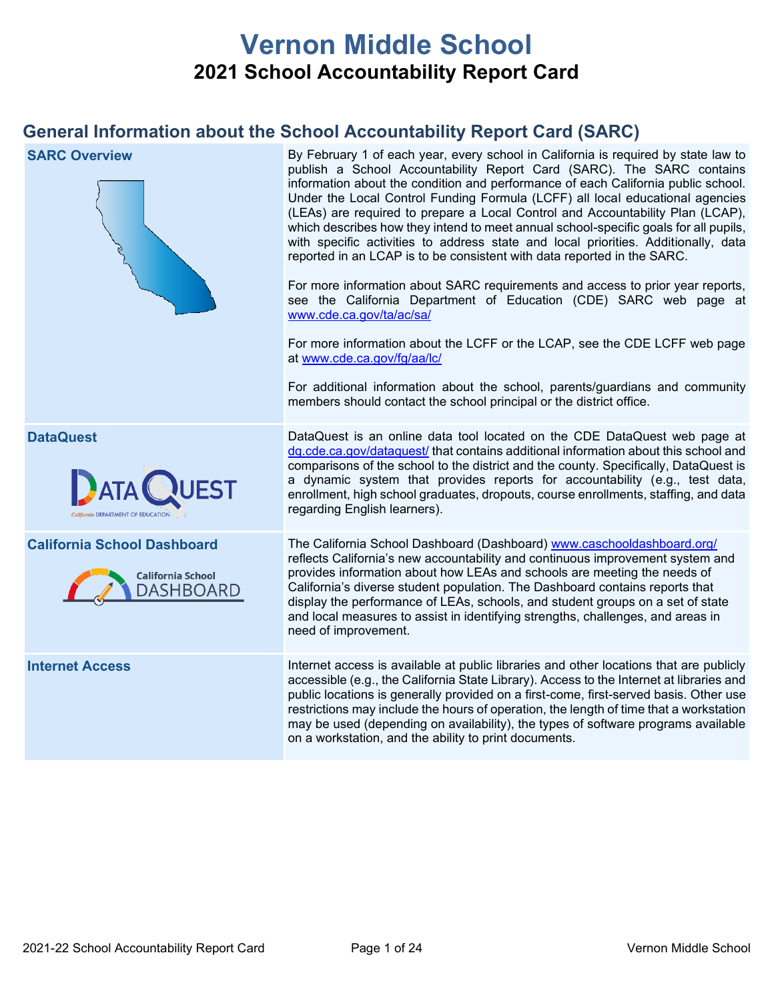# **Vernon Middle School 2021 School Accountability Report Card**

## **General Information about the School Accountability Report Card (SARC)**

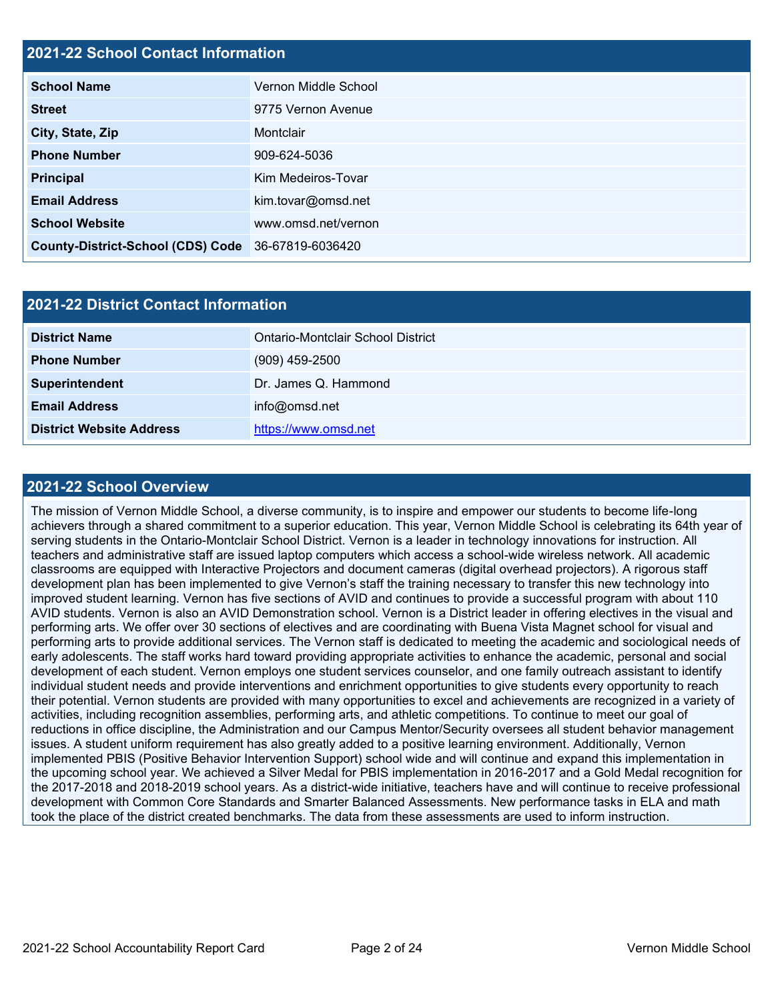## **2021-22 School Contact Information**

| <b>School Name</b>                                 | Vernon Middle School |
|----------------------------------------------------|----------------------|
| <b>Street</b>                                      | 9775 Vernon Avenue   |
| City, State, Zip                                   | Montclair            |
| <b>Phone Number</b>                                | 909-624-5036         |
| <b>Principal</b>                                   | Kim Medeiros-Tovar   |
| <b>Email Address</b>                               | kim.tovar@omsd.net   |
| <b>School Website</b>                              | www.omsd.net/vernon  |
| County-District-School (CDS) Code 36-67819-6036420 |                      |

| <b>2021-22 District Contact Information</b> |                                   |  |  |  |
|---------------------------------------------|-----------------------------------|--|--|--|
| <b>District Name</b>                        | Ontario-Montclair School District |  |  |  |
| <b>Phone Number</b>                         | $(909)$ 459-2500                  |  |  |  |
| Superintendent                              | Dr. James Q. Hammond              |  |  |  |
| <b>Email Address</b>                        | info@omsd.net                     |  |  |  |
| <b>District Website Address</b>             | https://www.omsd.net              |  |  |  |

### **2021-22 School Overview**

The mission of Vernon Middle School, a diverse community, is to inspire and empower our students to become life-long achievers through a shared commitment to a superior education. This year, Vernon Middle School is celebrating its 64th year of serving students in the Ontario-Montclair School District. Vernon is a leader in technology innovations for instruction. All teachers and administrative staff are issued laptop computers which access a school-wide wireless network. All academic classrooms are equipped with Interactive Projectors and document cameras (digital overhead projectors). A rigorous staff development plan has been implemented to give Vernon's staff the training necessary to transfer this new technology into improved student learning. Vernon has five sections of AVID and continues to provide a successful program with about 110 AVID students. Vernon is also an AVID Demonstration school. Vernon is a District leader in offering electives in the visual and performing arts. We offer over 30 sections of electives and are coordinating with Buena Vista Magnet school for visual and performing arts to provide additional services. The Vernon staff is dedicated to meeting the academic and sociological needs of early adolescents. The staff works hard toward providing appropriate activities to enhance the academic, personal and social development of each student. Vernon employs one student services counselor, and one family outreach assistant to identify individual student needs and provide interventions and enrichment opportunities to give students every opportunity to reach their potential. Vernon students are provided with many opportunities to excel and achievements are recognized in a variety of activities, including recognition assemblies, performing arts, and athletic competitions. To continue to meet our goal of reductions in office discipline, the Administration and our Campus Mentor/Security oversees all student behavior management issues. A student uniform requirement has also greatly added to a positive learning environment. Additionally, Vernon implemented PBIS (Positive Behavior Intervention Support) school wide and will continue and expand this implementation in the upcoming school year. We achieved a Silver Medal for PBIS implementation in 2016-2017 and a Gold Medal recognition for the 2017-2018 and 2018-2019 school years. As a district-wide initiative, teachers have and will continue to receive professional development with Common Core Standards and Smarter Balanced Assessments. New performance tasks in ELA and math took the place of the district created benchmarks. The data from these assessments are used to inform instruction.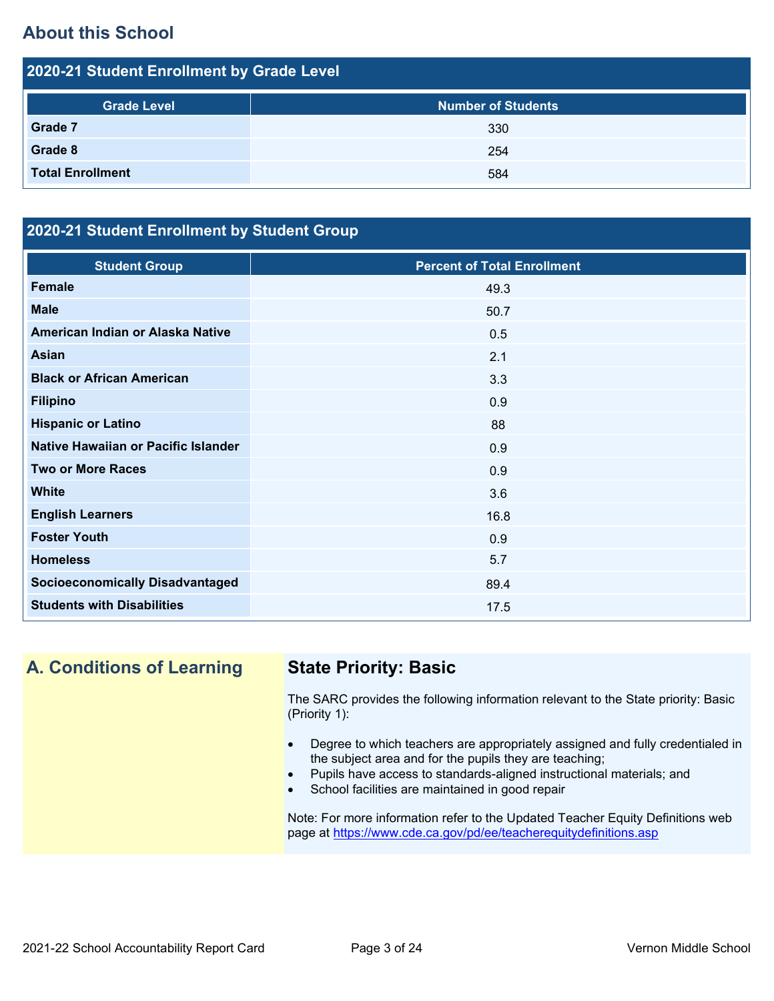## **About this School**

| 2020-21 Student Enrollment by Grade Level |                           |  |  |  |
|-------------------------------------------|---------------------------|--|--|--|
| <b>Grade Level</b>                        | <b>Number of Students</b> |  |  |  |
| Grade 7                                   | 330                       |  |  |  |
| Grade 8                                   | 254                       |  |  |  |
| <b>Total Enrollment</b>                   | 584                       |  |  |  |

## **2020-21 Student Enrollment by Student Group**

| <b>Student Group</b>                   | <b>Percent of Total Enrollment</b> |
|----------------------------------------|------------------------------------|
| <b>Female</b>                          | 49.3                               |
| <b>Male</b>                            | 50.7                               |
| American Indian or Alaska Native       | 0.5                                |
| <b>Asian</b>                           | 2.1                                |
| <b>Black or African American</b>       | 3.3                                |
| <b>Filipino</b>                        | 0.9                                |
| <b>Hispanic or Latino</b>              | 88                                 |
| Native Hawaiian or Pacific Islander    | 0.9                                |
| <b>Two or More Races</b>               | 0.9                                |
| <b>White</b>                           | 3.6                                |
| <b>English Learners</b>                | 16.8                               |
| <b>Foster Youth</b>                    | 0.9                                |
| <b>Homeless</b>                        | 5.7                                |
| <b>Socioeconomically Disadvantaged</b> | 89.4                               |
| <b>Students with Disabilities</b>      | 17.5                               |

# **A. Conditions of Learning State Priority: Basic**

The SARC provides the following information relevant to the State priority: Basic (Priority 1):

- Degree to which teachers are appropriately assigned and fully credentialed in the subject area and for the pupils they are teaching;
- Pupils have access to standards-aligned instructional materials; and
- School facilities are maintained in good repair

Note: For more information refer to the Updated Teacher Equity Definitions web page at<https://www.cde.ca.gov/pd/ee/teacherequitydefinitions.asp>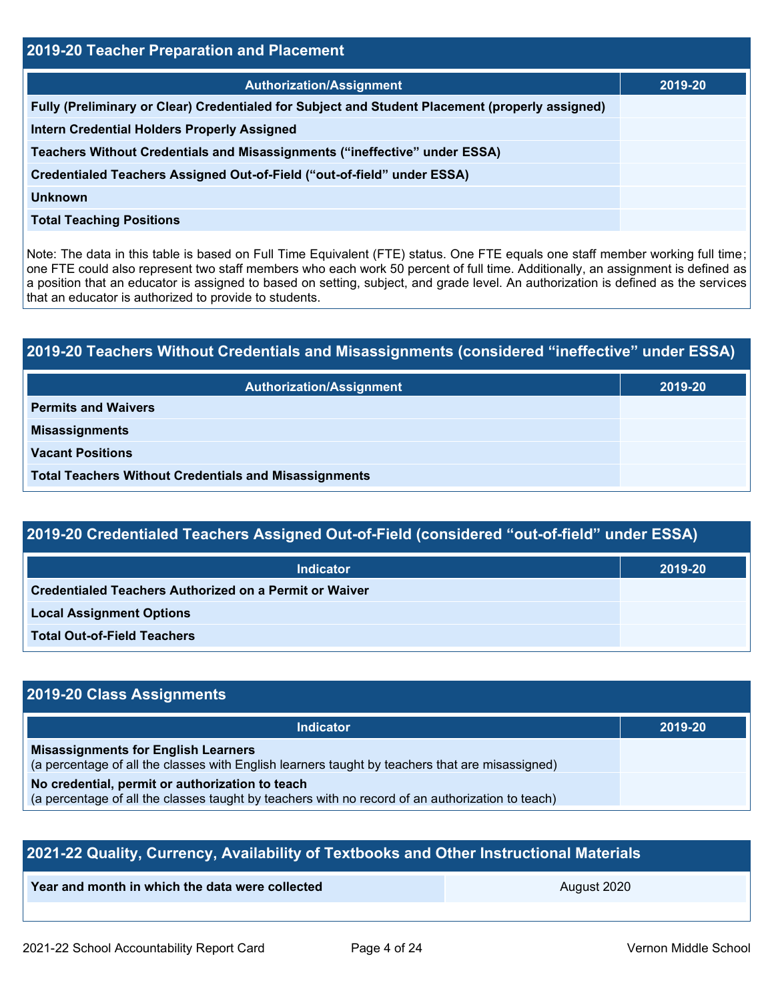| 2019-20 Teacher Preparation and Placement                                                       |         |  |  |
|-------------------------------------------------------------------------------------------------|---------|--|--|
| <b>Authorization/Assignment</b>                                                                 | 2019-20 |  |  |
| Fully (Preliminary or Clear) Credentialed for Subject and Student Placement (properly assigned) |         |  |  |
| <b>Intern Credential Holders Properly Assigned</b>                                              |         |  |  |
| Teachers Without Credentials and Misassignments ("ineffective" under ESSA)                      |         |  |  |
| Credentialed Teachers Assigned Out-of-Field ("out-of-field" under ESSA)                         |         |  |  |
| <b>Unknown</b>                                                                                  |         |  |  |
| <b>Total Teaching Positions</b>                                                                 |         |  |  |
|                                                                                                 |         |  |  |

Note: The data in this table is based on Full Time Equivalent (FTE) status. One FTE equals one staff member working full time; one FTE could also represent two staff members who each work 50 percent of full time. Additionally, an assignment is defined as a position that an educator is assigned to based on setting, subject, and grade level. An authorization is defined as the services that an educator is authorized to provide to students.

# **2019-20 Teachers Without Credentials and Misassignments (considered "ineffective" under ESSA) Authorization/Assignment 2019-20 Permits and Waivers Misassignments Vacant Positions Total Teachers Without Credentials and Misassignments**

## **2019-20 Credentialed Teachers Assigned Out-of-Field (considered "out-of-field" under ESSA)**

| <b>Indicator</b>                                       | 2019-20 |
|--------------------------------------------------------|---------|
| Credentialed Teachers Authorized on a Permit or Waiver |         |
| <b>Local Assignment Options</b>                        |         |
| <b>Total Out-of-Field Teachers</b>                     |         |

## **2019-20 Class Assignments**

| <b>Indicator</b>                                                                                                                                    | 2019-20 |
|-----------------------------------------------------------------------------------------------------------------------------------------------------|---------|
| <b>Misassignments for English Learners</b><br>(a percentage of all the classes with English learners taught by teachers that are misassigned)       |         |
| No credential, permit or authorization to teach<br>(a percentage of all the classes taught by teachers with no record of an authorization to teach) |         |

| 2021-22 Quality, Currency, Availability of Textbooks and Other Instructional Materials |             |  |  |  |
|----------------------------------------------------------------------------------------|-------------|--|--|--|
| Year and month in which the data were collected                                        | August 2020 |  |  |  |
|                                                                                        |             |  |  |  |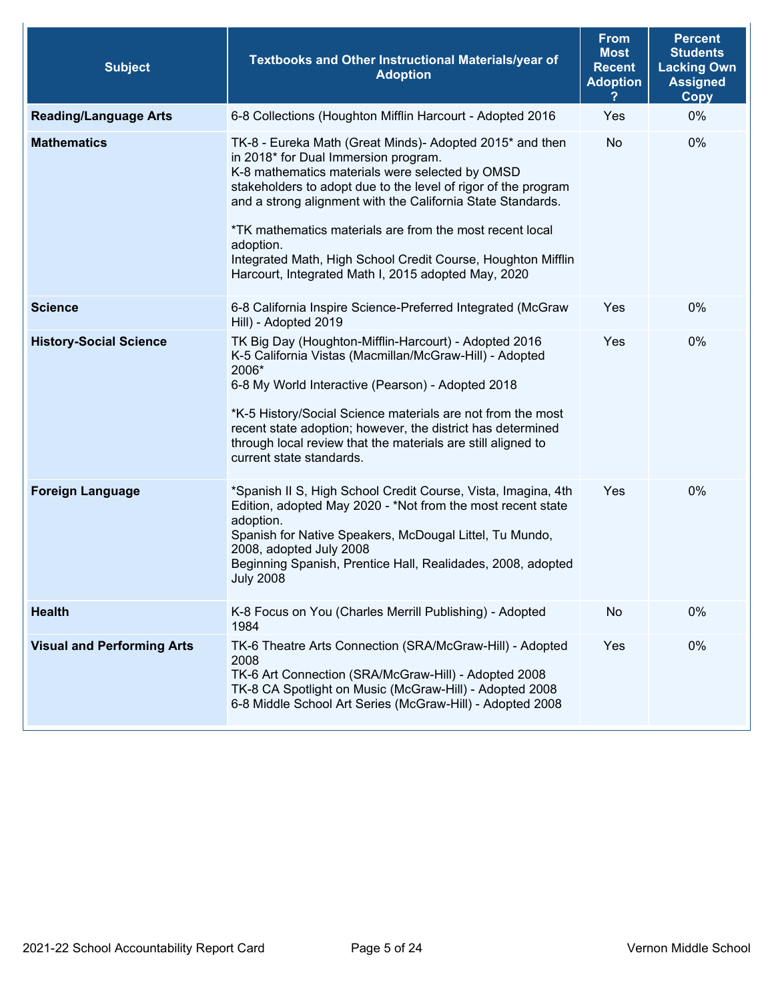| <b>Subject</b>                    | Textbooks and Other Instructional Materials/year of<br><b>Adoption</b>                                                                                                                                                                                                                                                                                                                                                                                                               | <b>From</b><br><b>Most</b><br><b>Recent</b><br><b>Adoption</b> | <b>Percent</b><br><b>Students</b><br><b>Lacking Own</b><br><b>Assigned</b><br><b>Copy</b> |  |
|-----------------------------------|--------------------------------------------------------------------------------------------------------------------------------------------------------------------------------------------------------------------------------------------------------------------------------------------------------------------------------------------------------------------------------------------------------------------------------------------------------------------------------------|----------------------------------------------------------------|-------------------------------------------------------------------------------------------|--|
| <b>Reading/Language Arts</b>      | 6-8 Collections (Houghton Mifflin Harcourt - Adopted 2016                                                                                                                                                                                                                                                                                                                                                                                                                            | Yes                                                            | 0%                                                                                        |  |
| <b>Mathematics</b>                | TK-8 - Eureka Math (Great Minds)- Adopted 2015* and then<br>in 2018* for Dual Immersion program.<br>K-8 mathematics materials were selected by OMSD<br>stakeholders to adopt due to the level of rigor of the program<br>and a strong alignment with the California State Standards.<br>*TK mathematics materials are from the most recent local<br>adoption.<br>Integrated Math, High School Credit Course, Houghton Mifflin<br>Harcourt, Integrated Math I, 2015 adopted May, 2020 | <b>No</b>                                                      | 0%                                                                                        |  |
| <b>Science</b>                    | 6-8 California Inspire Science-Preferred Integrated (McGraw<br>Hill) - Adopted 2019                                                                                                                                                                                                                                                                                                                                                                                                  | Yes                                                            | 0%                                                                                        |  |
| <b>History-Social Science</b>     | TK Big Day (Houghton-Mifflin-Harcourt) - Adopted 2016<br>K-5 California Vistas (Macmillan/McGraw-Hill) - Adopted<br>2006*<br>6-8 My World Interactive (Pearson) - Adopted 2018<br>*K-5 History/Social Science materials are not from the most<br>recent state adoption; however, the district has determined<br>through local review that the materials are still aligned to<br>current state standards.                                                                             | Yes                                                            | 0%                                                                                        |  |
| <b>Foreign Language</b>           | *Spanish II S, High School Credit Course, Vista, Imagina, 4th<br>Edition, adopted May 2020 - *Not from the most recent state<br>adoption.<br>Spanish for Native Speakers, McDougal Littel, Tu Mundo,<br>2008, adopted July 2008<br>Beginning Spanish, Prentice Hall, Realidades, 2008, adopted<br><b>July 2008</b>                                                                                                                                                                   | Yes                                                            | 0%                                                                                        |  |
| <b>Health</b>                     | K-8 Focus on You (Charles Merrill Publishing) - Adopted<br>1984                                                                                                                                                                                                                                                                                                                                                                                                                      | No                                                             | 0%                                                                                        |  |
| <b>Visual and Performing Arts</b> | TK-6 Theatre Arts Connection (SRA/McGraw-Hill) - Adopted<br>2008<br>TK-6 Art Connection (SRA/McGraw-Hill) - Adopted 2008<br>TK-8 CA Spotlight on Music (McGraw-Hill) - Adopted 2008<br>6-8 Middle School Art Series (McGraw-Hill) - Adopted 2008                                                                                                                                                                                                                                     | Yes                                                            | 0%                                                                                        |  |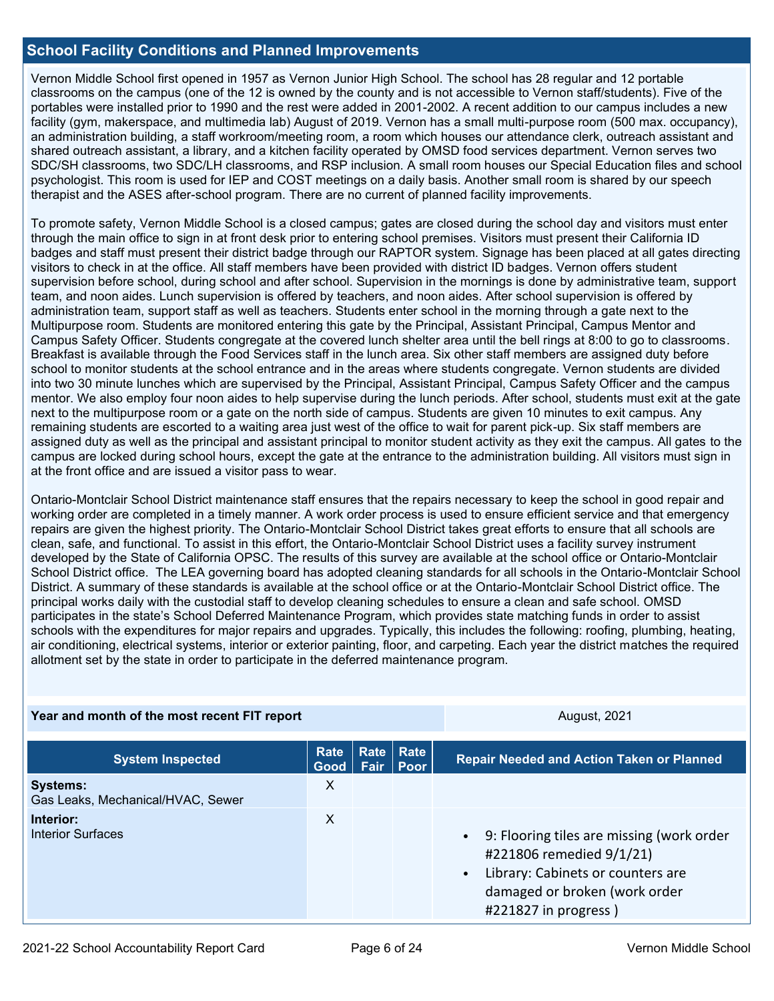## **School Facility Conditions and Planned Improvements**

Vernon Middle School first opened in 1957 as Vernon Junior High School. The school has 28 regular and 12 portable classrooms on the campus (one of the 12 is owned by the county and is not accessible to Vernon staff/students). Five of the portables were installed prior to 1990 and the rest were added in 2001-2002. A recent addition to our campus includes a new facility (gym, makerspace, and multimedia lab) August of 2019. Vernon has a small multi-purpose room (500 max. occupancy), an administration building, a staff workroom/meeting room, a room which houses our attendance clerk, outreach assistant and shared outreach assistant, a library, and a kitchen facility operated by OMSD food services department. Vernon serves two SDC/SH classrooms, two SDC/LH classrooms, and RSP inclusion. A small room houses our Special Education files and school psychologist. This room is used for IEP and COST meetings on a daily basis. Another small room is shared by our speech therapist and the ASES after-school program. There are no current of planned facility improvements.

To promote safety, Vernon Middle School is a closed campus; gates are closed during the school day and visitors must enter through the main office to sign in at front desk prior to entering school premises. Visitors must present their California ID badges and staff must present their district badge through our RAPTOR system. Signage has been placed at all gates directing visitors to check in at the office. All staff members have been provided with district ID badges. Vernon offers student supervision before school, during school and after school. Supervision in the mornings is done by administrative team, support team, and noon aides. Lunch supervision is offered by teachers, and noon aides. After school supervision is offered by administration team, support staff as well as teachers. Students enter school in the morning through a gate next to the Multipurpose room. Students are monitored entering this gate by the Principal, Assistant Principal, Campus Mentor and Campus Safety Officer. Students congregate at the covered lunch shelter area until the bell rings at 8:00 to go to classrooms. Breakfast is available through the Food Services staff in the lunch area. Six other staff members are assigned duty before school to monitor students at the school entrance and in the areas where students congregate. Vernon students are divided into two 30 minute lunches which are supervised by the Principal, Assistant Principal, Campus Safety Officer and the campus mentor. We also employ four noon aides to help supervise during the lunch periods. After school, students must exit at the gate next to the multipurpose room or a gate on the north side of campus. Students are given 10 minutes to exit campus. Any remaining students are escorted to a waiting area just west of the office to wait for parent pick-up. Six staff members are assigned duty as well as the principal and assistant principal to monitor student activity as they exit the campus. All gates to the campus are locked during school hours, except the gate at the entrance to the administration building. All visitors must sign in at the front office and are issued a visitor pass to wear.

Ontario-Montclair School District maintenance staff ensures that the repairs necessary to keep the school in good repair and working order are completed in a timely manner. A work order process is used to ensure efficient service and that emergency repairs are given the highest priority. The Ontario-Montclair School District takes great efforts to ensure that all schools are clean, safe, and functional. To assist in this effort, the Ontario-Montclair School District uses a facility survey instrument developed by the State of California OPSC. The results of this survey are available at the school office or Ontario-Montclair School District office. The LEA governing board has adopted cleaning standards for all schools in the Ontario-Montclair School District. A summary of these standards is available at the school office or at the Ontario-Montclair School District office. The principal works daily with the custodial staff to develop cleaning schedules to ensure a clean and safe school. OMSD participates in the state's School Deferred Maintenance Program, which provides state matching funds in order to assist schools with the expenditures for major repairs and upgrades. Typically, this includes the following: roofing, plumbing, heating, air conditioning, electrical systems, interior or exterior painting, floor, and carpeting. Each year the district matches the required allotment set by the state in order to participate in the deferred maintenance program.

| Year and month of the most recent FIT report         |              |  | <b>August, 2021</b>        |                                                                                                                                                                                    |
|------------------------------------------------------|--------------|--|----------------------------|------------------------------------------------------------------------------------------------------------------------------------------------------------------------------------|
| <b>System Inspected</b>                              | Rate<br>Good |  | Rate   Rate<br>Fair   Poor | <b>Repair Needed and Action Taken or Planned</b>                                                                                                                                   |
| <b>Systems:</b><br>Gas Leaks, Mechanical/HVAC, Sewer | X            |  |                            |                                                                                                                                                                                    |
| Interior:<br><b>Interior Surfaces</b>                | $\mathsf{X}$ |  |                            | • 9: Flooring tiles are missing (work order<br>#221806 remedied 9/1/21)<br>Library: Cabinets or counters are<br>$\bullet$<br>damaged or broken (work order<br>#221827 in progress) |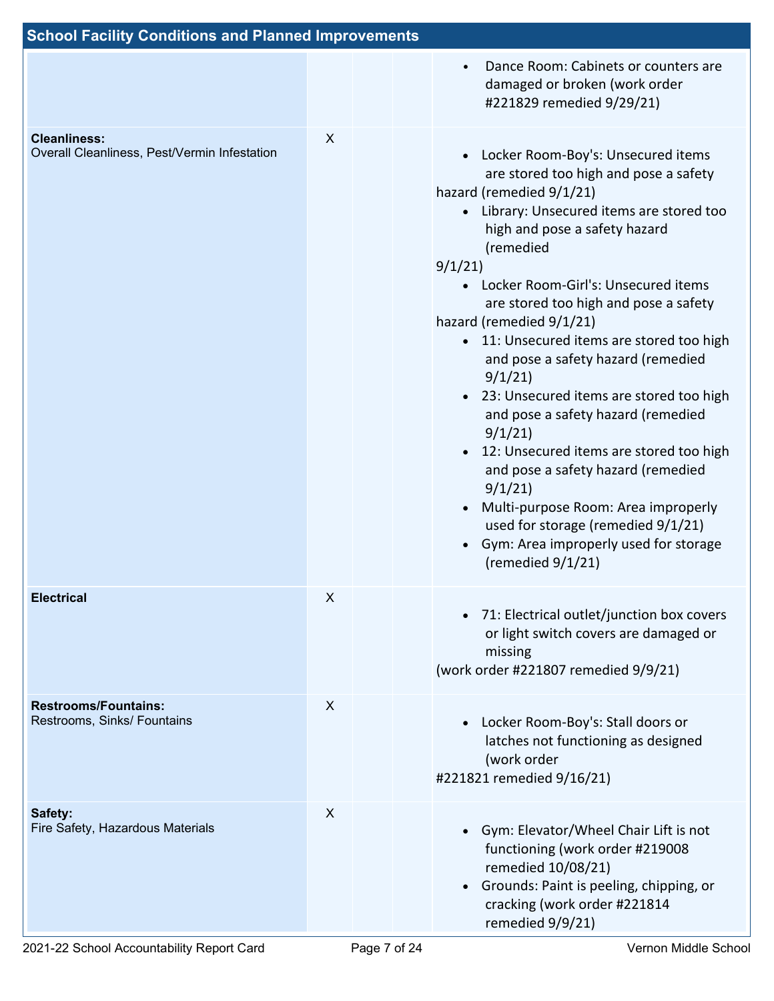| <b>School Facility Conditions and Planned Improvements</b>          |   |  |                                                                                                                                                                                                                                                                                                                                                                                                                                                                                                                                                                                                                                                                                                                                                                 |
|---------------------------------------------------------------------|---|--|-----------------------------------------------------------------------------------------------------------------------------------------------------------------------------------------------------------------------------------------------------------------------------------------------------------------------------------------------------------------------------------------------------------------------------------------------------------------------------------------------------------------------------------------------------------------------------------------------------------------------------------------------------------------------------------------------------------------------------------------------------------------|
|                                                                     |   |  | Dance Room: Cabinets or counters are<br>$\bullet$<br>damaged or broken (work order<br>#221829 remedied 9/29/21)                                                                                                                                                                                                                                                                                                                                                                                                                                                                                                                                                                                                                                                 |
| <b>Cleanliness:</b><br>Overall Cleanliness, Pest/Vermin Infestation | X |  | • Locker Room-Boy's: Unsecured items<br>are stored too high and pose a safety<br>hazard (remedied 9/1/21)<br>• Library: Unsecured items are stored too<br>high and pose a safety hazard<br>(remedied<br>9/1/21<br>• Locker Room-Girl's: Unsecured items<br>are stored too high and pose a safety<br>hazard (remedied 9/1/21)<br>• 11: Unsecured items are stored too high<br>and pose a safety hazard (remedied<br>9/1/21<br>• 23: Unsecured items are stored too high<br>and pose a safety hazard (remedied<br>9/1/21<br>12: Unsecured items are stored too high<br>and pose a safety hazard (remedied<br>9/1/21<br>Multi-purpose Room: Area improperly<br>used for storage (remedied 9/1/21)<br>Gym: Area improperly used for storage<br>(remedied $9/1/21$ ) |
| <b>Electrical</b>                                                   | X |  | • 71: Electrical outlet/junction box covers<br>or light switch covers are damaged or<br>missing<br>(work order #221807 remedied 9/9/21)                                                                                                                                                                                                                                                                                                                                                                                                                                                                                                                                                                                                                         |
| <b>Restrooms/Fountains:</b><br>Restrooms, Sinks/ Fountains          | X |  | Locker Room-Boy's: Stall doors or<br>latches not functioning as designed<br>(work order<br>#221821 remedied 9/16/21)                                                                                                                                                                                                                                                                                                                                                                                                                                                                                                                                                                                                                                            |
| Safety:<br>Fire Safety, Hazardous Materials                         | X |  | Gym: Elevator/Wheel Chair Lift is not<br>functioning (work order #219008<br>remedied 10/08/21)<br>Grounds: Paint is peeling, chipping, or<br>$\bullet$<br>cracking (work order #221814<br>remedied 9/9/21)                                                                                                                                                                                                                                                                                                                                                                                                                                                                                                                                                      |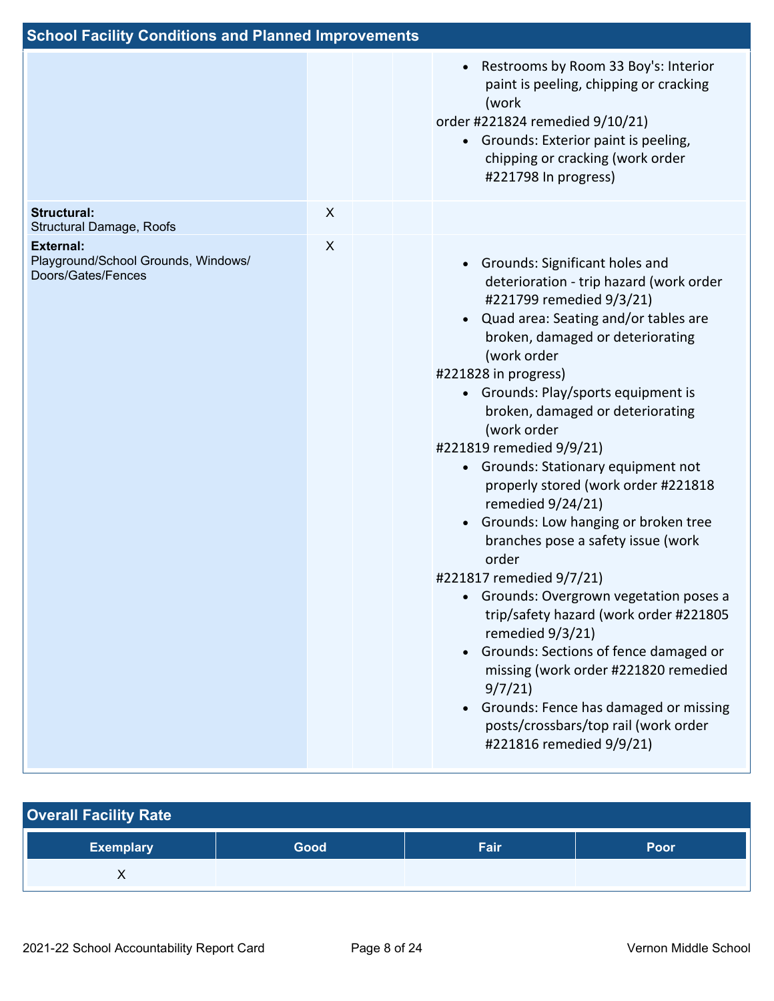| <b>School Facility Conditions and Planned Improvements</b>                    |                |                                                                                                                                                                                                                                                                                                                                                                                                                                                                                                                                                                                                                                                                                                                                                                                                                                                                                                                                                   |
|-------------------------------------------------------------------------------|----------------|---------------------------------------------------------------------------------------------------------------------------------------------------------------------------------------------------------------------------------------------------------------------------------------------------------------------------------------------------------------------------------------------------------------------------------------------------------------------------------------------------------------------------------------------------------------------------------------------------------------------------------------------------------------------------------------------------------------------------------------------------------------------------------------------------------------------------------------------------------------------------------------------------------------------------------------------------|
|                                                                               |                | Restrooms by Room 33 Boy's: Interior<br>$\bullet$<br>paint is peeling, chipping or cracking<br>(work<br>order #221824 remedied 9/10/21)<br>• Grounds: Exterior paint is peeling,<br>chipping or cracking (work order<br>#221798 In progress)                                                                                                                                                                                                                                                                                                                                                                                                                                                                                                                                                                                                                                                                                                      |
| <b>Structural:</b><br>Structural Damage, Roofs                                | X              |                                                                                                                                                                                                                                                                                                                                                                                                                                                                                                                                                                                                                                                                                                                                                                                                                                                                                                                                                   |
| <b>External:</b><br>Playground/School Grounds, Windows/<br>Doors/Gates/Fences | $\pmb{\times}$ | Grounds: Significant holes and<br>$\bullet$<br>deterioration - trip hazard (work order<br>#221799 remedied 9/3/21)<br>Quad area: Seating and/or tables are<br>$\bullet$<br>broken, damaged or deteriorating<br>(work order<br>#221828 in progress)<br>• Grounds: Play/sports equipment is<br>broken, damaged or deteriorating<br>(work order<br>#221819 remedied 9/9/21)<br>Grounds: Stationary equipment not<br>properly stored (work order #221818<br>remedied 9/24/21)<br>Grounds: Low hanging or broken tree<br>$\bullet$<br>branches pose a safety issue (work<br>order<br>#221817 remedied 9/7/21)<br>Grounds: Overgrown vegetation poses a<br>trip/safety hazard (work order #221805<br>remedied 9/3/21)<br>Grounds: Sections of fence damaged or<br>$\bullet$<br>missing (work order #221820 remedied<br>9/7/21<br>Grounds: Fence has damaged or missing<br>$\bullet$<br>posts/crossbars/top rail (work order<br>#221816 remedied 9/9/21) |

| <b>Overall Facility Rate</b> |      |      |      |  |  |  |  |
|------------------------------|------|------|------|--|--|--|--|
| <b>Exemplary</b>             | Good | Fair | Poor |  |  |  |  |
|                              |      |      |      |  |  |  |  |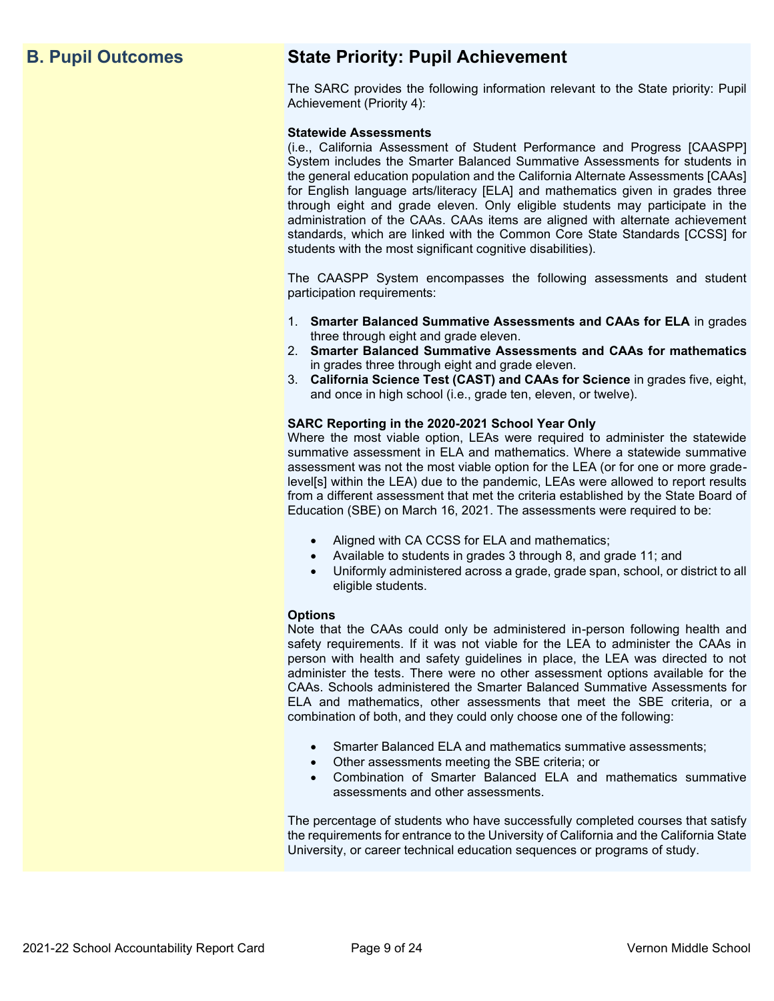## **B. Pupil Outcomes State Priority: Pupil Achievement**

The SARC provides the following information relevant to the State priority: Pupil Achievement (Priority 4):

### **Statewide Assessments**

(i.e., California Assessment of Student Performance and Progress [CAASPP] System includes the Smarter Balanced Summative Assessments for students in the general education population and the California Alternate Assessments [CAAs] for English language arts/literacy [ELA] and mathematics given in grades three through eight and grade eleven. Only eligible students may participate in the administration of the CAAs. CAAs items are aligned with alternate achievement standards, which are linked with the Common Core State Standards [CCSS] for students with the most significant cognitive disabilities).

The CAASPP System encompasses the following assessments and student participation requirements:

- 1. **Smarter Balanced Summative Assessments and CAAs for ELA** in grades three through eight and grade eleven.
- 2. **Smarter Balanced Summative Assessments and CAAs for mathematics** in grades three through eight and grade eleven.
- 3. **California Science Test (CAST) and CAAs for Science** in grades five, eight, and once in high school (i.e., grade ten, eleven, or twelve).

### **SARC Reporting in the 2020-2021 School Year Only**

Where the most viable option, LEAs were required to administer the statewide summative assessment in ELA and mathematics. Where a statewide summative assessment was not the most viable option for the LEA (or for one or more gradelevel[s] within the LEA) due to the pandemic, LEAs were allowed to report results from a different assessment that met the criteria established by the State Board of Education (SBE) on March 16, 2021. The assessments were required to be:

- Aligned with CA CCSS for ELA and mathematics;
- Available to students in grades 3 through 8, and grade 11; and
- Uniformly administered across a grade, grade span, school, or district to all eligible students.

### **Options**

Note that the CAAs could only be administered in-person following health and safety requirements. If it was not viable for the LEA to administer the CAAs in person with health and safety guidelines in place, the LEA was directed to not administer the tests. There were no other assessment options available for the CAAs. Schools administered the Smarter Balanced Summative Assessments for ELA and mathematics, other assessments that meet the SBE criteria, or a combination of both, and they could only choose one of the following:

- Smarter Balanced ELA and mathematics summative assessments;
- Other assessments meeting the SBE criteria; or
- Combination of Smarter Balanced ELA and mathematics summative assessments and other assessments.

The percentage of students who have successfully completed courses that satisfy the requirements for entrance to the University of California and the California State University, or career technical education sequences or programs of study.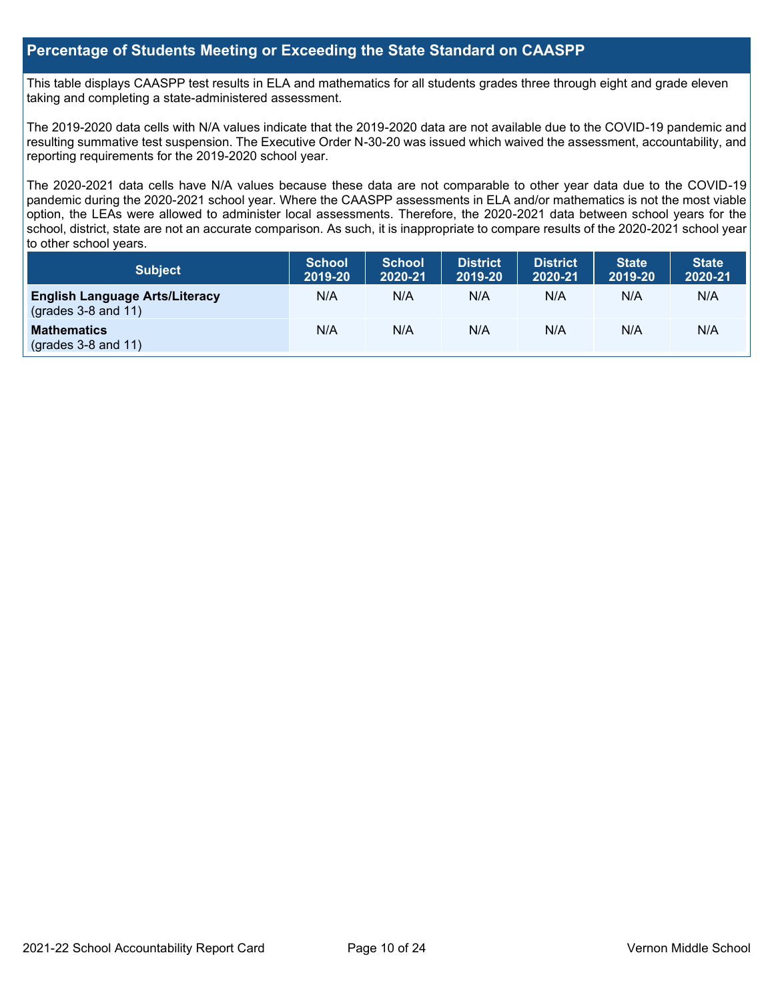## **Percentage of Students Meeting or Exceeding the State Standard on CAASPP**

This table displays CAASPP test results in ELA and mathematics for all students grades three through eight and grade eleven taking and completing a state-administered assessment.

The 2019-2020 data cells with N/A values indicate that the 2019-2020 data are not available due to the COVID-19 pandemic and resulting summative test suspension. The Executive Order N-30-20 was issued which waived the assessment, accountability, and reporting requirements for the 2019-2020 school year.

The 2020-2021 data cells have N/A values because these data are not comparable to other year data due to the COVID-19 pandemic during the 2020-2021 school year. Where the CAASPP assessments in ELA and/or mathematics is not the most viable option, the LEAs were allowed to administer local assessments. Therefore, the 2020-2021 data between school years for the school, district, state are not an accurate comparison. As such, it is inappropriate to compare results of the 2020-2021 school year to other school years.

| Subject                                                              | <b>School</b><br>2019-20 | <b>School</b><br>2020-21 | <b>District</b><br>2019-20 | <b>District</b><br>2020-21 | <b>State</b><br>2019-20 | <b>State</b><br>2020-21 |
|----------------------------------------------------------------------|--------------------------|--------------------------|----------------------------|----------------------------|-------------------------|-------------------------|
| <b>English Language Arts/Literacy</b><br>$\left($ grades 3-8 and 11) | N/A                      | N/A                      | N/A                        | N/A                        | N/A                     | N/A                     |
| <b>Mathematics</b><br>$(grades 3-8 and 11)$                          | N/A                      | N/A                      | N/A                        | N/A                        | N/A                     | N/A                     |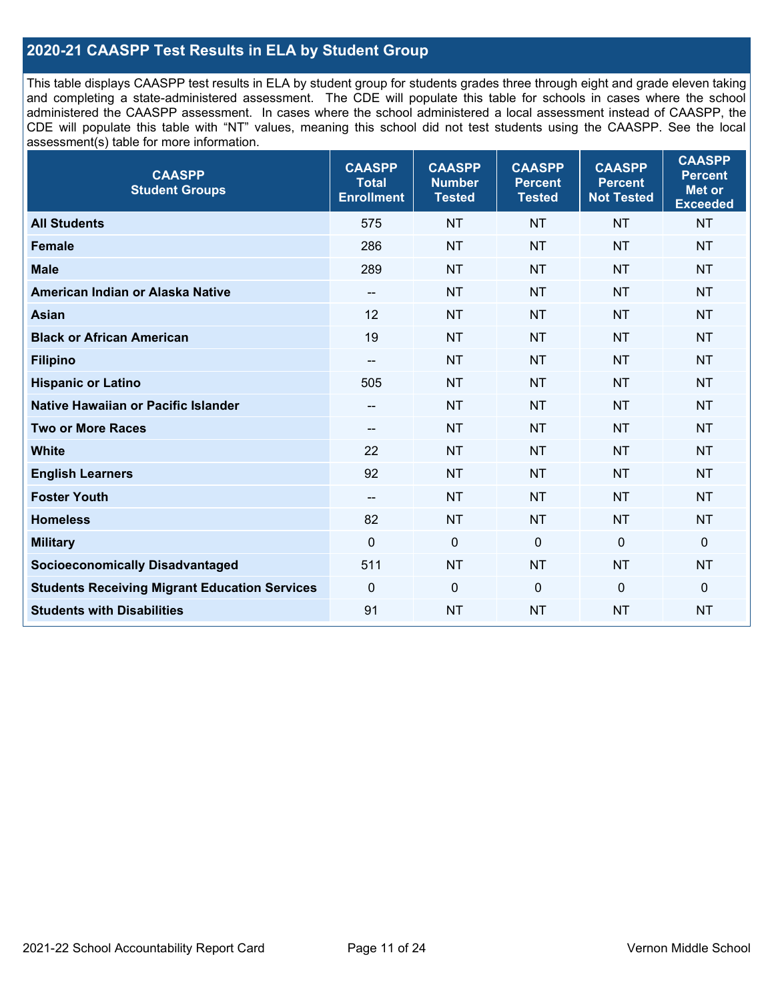## **2020-21 CAASPP Test Results in ELA by Student Group**

This table displays CAASPP test results in ELA by student group for students grades three through eight and grade eleven taking and completing a state-administered assessment. The CDE will populate this table for schools in cases where the school administered the CAASPP assessment. In cases where the school administered a local assessment instead of CAASPP, the CDE will populate this table with "NT" values, meaning this school did not test students using the CAASPP. See the local assessment(s) table for more information.

| <b>CAASPP</b><br><b>Student Groups</b>               | <b>CAASPP</b><br><b>Total</b><br><b>Enrollment</b> | <b>CAASPP</b><br><b>Number</b><br><b>Tested</b> | <b>CAASPP</b><br><b>Percent</b><br><b>Tested</b> | <b>CAASPP</b><br><b>Percent</b><br><b>Not Tested</b> | <b>CAASPP</b><br><b>Percent</b><br><b>Met or</b><br><b>Exceeded</b> |
|------------------------------------------------------|----------------------------------------------------|-------------------------------------------------|--------------------------------------------------|------------------------------------------------------|---------------------------------------------------------------------|
| <b>All Students</b>                                  | 575                                                | <b>NT</b>                                       | <b>NT</b>                                        | <b>NT</b>                                            | <b>NT</b>                                                           |
| <b>Female</b>                                        | 286                                                | <b>NT</b>                                       | <b>NT</b>                                        | <b>NT</b>                                            | <b>NT</b>                                                           |
| <b>Male</b>                                          | 289                                                | <b>NT</b>                                       | <b>NT</b>                                        | <b>NT</b>                                            | <b>NT</b>                                                           |
| American Indian or Alaska Native                     | $\overline{\phantom{a}}$                           | <b>NT</b>                                       | <b>NT</b>                                        | <b>NT</b>                                            | <b>NT</b>                                                           |
| <b>Asian</b>                                         | 12                                                 | <b>NT</b>                                       | <b>NT</b>                                        | <b>NT</b>                                            | <b>NT</b>                                                           |
| <b>Black or African American</b>                     | 19                                                 | <b>NT</b>                                       | <b>NT</b>                                        | <b>NT</b>                                            | <b>NT</b>                                                           |
| <b>Filipino</b>                                      | $\overline{\phantom{a}}$                           | <b>NT</b>                                       | <b>NT</b>                                        | <b>NT</b>                                            | <b>NT</b>                                                           |
| <b>Hispanic or Latino</b>                            | 505                                                | <b>NT</b>                                       | <b>NT</b>                                        | <b>NT</b>                                            | <b>NT</b>                                                           |
| Native Hawaiian or Pacific Islander                  | --                                                 | <b>NT</b>                                       | <b>NT</b>                                        | <b>NT</b>                                            | <b>NT</b>                                                           |
| <b>Two or More Races</b>                             | --                                                 | <b>NT</b>                                       | <b>NT</b>                                        | <b>NT</b>                                            | <b>NT</b>                                                           |
| <b>White</b>                                         | 22                                                 | <b>NT</b>                                       | <b>NT</b>                                        | <b>NT</b>                                            | NT                                                                  |
| <b>English Learners</b>                              | 92                                                 | <b>NT</b>                                       | <b>NT</b>                                        | <b>NT</b>                                            | <b>NT</b>                                                           |
| <b>Foster Youth</b>                                  | $\overline{\phantom{a}}$                           | <b>NT</b>                                       | <b>NT</b>                                        | <b>NT</b>                                            | <b>NT</b>                                                           |
| <b>Homeless</b>                                      | 82                                                 | <b>NT</b>                                       | <b>NT</b>                                        | <b>NT</b>                                            | <b>NT</b>                                                           |
| <b>Military</b>                                      | $\mathbf 0$                                        | $\pmb{0}$                                       | $\mathbf 0$                                      | $\mathbf 0$                                          | 0                                                                   |
| <b>Socioeconomically Disadvantaged</b>               | 511                                                | <b>NT</b>                                       | <b>NT</b>                                        | <b>NT</b>                                            | <b>NT</b>                                                           |
| <b>Students Receiving Migrant Education Services</b> | $\mathbf{0}$                                       | $\mathbf 0$                                     | $\mathbf 0$                                      | $\mathbf 0$                                          | 0                                                                   |
| <b>Students with Disabilities</b>                    | 91                                                 | <b>NT</b>                                       | <b>NT</b>                                        | <b>NT</b>                                            | <b>NT</b>                                                           |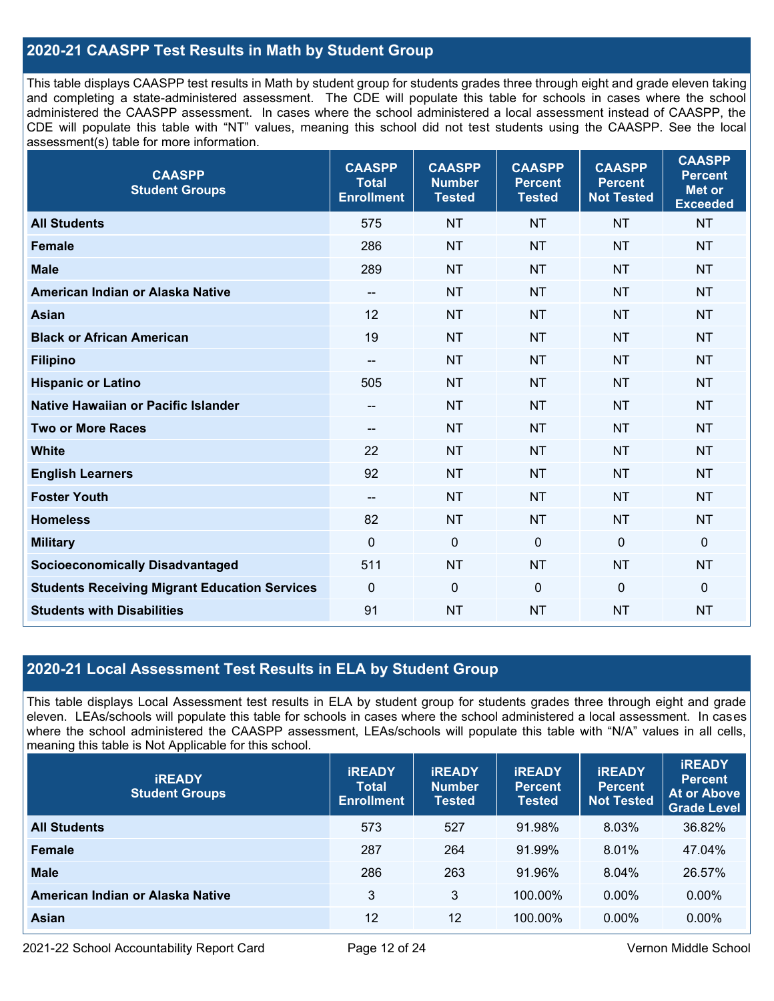## **2020-21 CAASPP Test Results in Math by Student Group**

This table displays CAASPP test results in Math by student group for students grades three through eight and grade eleven taking and completing a state-administered assessment. The CDE will populate this table for schools in cases where the school administered the CAASPP assessment. In cases where the school administered a local assessment instead of CAASPP, the CDE will populate this table with "NT" values, meaning this school did not test students using the CAASPP. See the local assessment(s) table for more information.

| <b>CAASPP</b><br><b>Student Groups</b>               | <b>CAASPP</b><br><b>Total</b><br><b>Enrollment</b> | <b>CAASPP</b><br><b>Number</b><br><b>Tested</b> | <b>CAASPP</b><br><b>Percent</b><br><b>Tested</b> | <b>CAASPP</b><br><b>Percent</b><br><b>Not Tested</b> | <b>CAASPP</b><br><b>Percent</b><br><b>Met or</b><br><b>Exceeded</b> |
|------------------------------------------------------|----------------------------------------------------|-------------------------------------------------|--------------------------------------------------|------------------------------------------------------|---------------------------------------------------------------------|
| <b>All Students</b>                                  | 575                                                | <b>NT</b>                                       | <b>NT</b>                                        | <b>NT</b>                                            | <b>NT</b>                                                           |
| <b>Female</b>                                        | 286                                                | <b>NT</b>                                       | <b>NT</b>                                        | <b>NT</b>                                            | <b>NT</b>                                                           |
| <b>Male</b>                                          | 289                                                | <b>NT</b>                                       | <b>NT</b>                                        | <b>NT</b>                                            | <b>NT</b>                                                           |
| American Indian or Alaska Native                     | $\overline{\phantom{a}}$                           | <b>NT</b>                                       | <b>NT</b>                                        | <b>NT</b>                                            | <b>NT</b>                                                           |
| <b>Asian</b>                                         | 12                                                 | <b>NT</b>                                       | <b>NT</b>                                        | <b>NT</b>                                            | <b>NT</b>                                                           |
| <b>Black or African American</b>                     | 19                                                 | <b>NT</b>                                       | <b>NT</b>                                        | <b>NT</b>                                            | <b>NT</b>                                                           |
| <b>Filipino</b>                                      | $\overline{\phantom{a}}$                           | <b>NT</b>                                       | <b>NT</b>                                        | <b>NT</b>                                            | <b>NT</b>                                                           |
| <b>Hispanic or Latino</b>                            | 505                                                | <b>NT</b>                                       | <b>NT</b>                                        | <b>NT</b>                                            | <b>NT</b>                                                           |
| Native Hawaiian or Pacific Islander                  | --                                                 | <b>NT</b>                                       | <b>NT</b>                                        | <b>NT</b>                                            | <b>NT</b>                                                           |
| <b>Two or More Races</b>                             | $\overline{\phantom{a}}$                           | <b>NT</b>                                       | <b>NT</b>                                        | <b>NT</b>                                            | <b>NT</b>                                                           |
| <b>White</b>                                         | 22                                                 | <b>NT</b>                                       | <b>NT</b>                                        | <b>NT</b>                                            | <b>NT</b>                                                           |
| <b>English Learners</b>                              | 92                                                 | <b>NT</b>                                       | <b>NT</b>                                        | <b>NT</b>                                            | <b>NT</b>                                                           |
| <b>Foster Youth</b>                                  | $\overline{\phantom{a}}$                           | <b>NT</b>                                       | <b>NT</b>                                        | <b>NT</b>                                            | <b>NT</b>                                                           |
| <b>Homeless</b>                                      | 82                                                 | <b>NT</b>                                       | <b>NT</b>                                        | <b>NT</b>                                            | <b>NT</b>                                                           |
| <b>Military</b>                                      | $\mathbf 0$                                        | $\pmb{0}$                                       | $\mathbf 0$                                      | $\mathbf 0$                                          | $\pmb{0}$                                                           |
| <b>Socioeconomically Disadvantaged</b>               | 511                                                | <b>NT</b>                                       | <b>NT</b>                                        | <b>NT</b>                                            | <b>NT</b>                                                           |
| <b>Students Receiving Migrant Education Services</b> | $\mathbf{0}$                                       | $\mathbf 0$                                     | $\mathbf{0}$                                     | $\mathbf 0$                                          | $\mathbf 0$                                                         |
| <b>Students with Disabilities</b>                    | 91                                                 | <b>NT</b>                                       | <b>NT</b>                                        | <b>NT</b>                                            | <b>NT</b>                                                           |

## **2020-21 Local Assessment Test Results in ELA by Student Group**

This table displays Local Assessment test results in ELA by student group for students grades three through eight and grade eleven. LEAs/schools will populate this table for schools in cases where the school administered a local assessment. In cases where the school administered the CAASPP assessment, LEAs/schools will populate this table with "N/A" values in all cells, meaning this table is Not Applicable for this school.

| <b>IREADY</b><br><b>Student Groups</b> | <b>IREADY</b><br><b>Total</b><br><b>Enrollment</b> | <b>IREADY</b><br><b>Number</b><br><b>Tested</b> | <b>IREADY</b><br><b>Percent</b><br><b>Tested</b> | <b>IREADY</b><br><b>Percent</b><br><b>Not Tested</b> | <b>IREADY</b><br><b>Percent</b><br><b>At or Above</b><br><b>Grade Level</b> |
|----------------------------------------|----------------------------------------------------|-------------------------------------------------|--------------------------------------------------|------------------------------------------------------|-----------------------------------------------------------------------------|
| <b>All Students</b>                    | 573                                                | 527                                             | 91.98%                                           | 8.03%                                                | 36.82%                                                                      |
| <b>Female</b>                          | 287                                                | 264                                             | 91.99%                                           | 8.01%                                                | 47.04%                                                                      |
| <b>Male</b>                            | 286                                                | 263                                             | 91.96%                                           | 8.04%                                                | 26.57%                                                                      |
| American Indian or Alaska Native       | 3                                                  | 3                                               | 100.00%                                          | $0.00\%$                                             | $0.00\%$                                                                    |
| Asian                                  | 12                                                 | 12                                              | 100.00%                                          | $0.00\%$                                             | 0.00%                                                                       |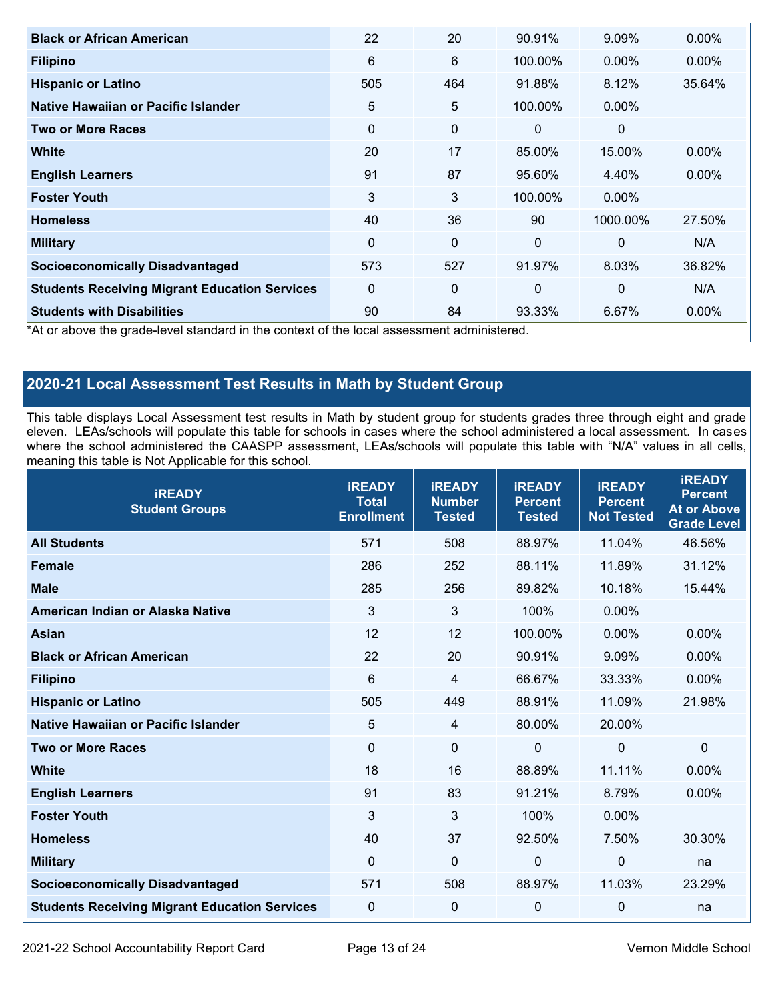| <b>Black or African American</b>                                                           | 22           | 20          | 90.91%   | 9.09%    | 0.00%    |
|--------------------------------------------------------------------------------------------|--------------|-------------|----------|----------|----------|
| <b>Filipino</b>                                                                            | 6            | 6           | 100.00%  | $0.00\%$ | $0.00\%$ |
| <b>Hispanic or Latino</b>                                                                  | 505          | 464         | 91.88%   | 8.12%    | 35.64%   |
| Native Hawaiian or Pacific Islander                                                        | 5            | 5           | 100.00%  | $0.00\%$ |          |
| <b>Two or More Races</b>                                                                   | $\Omega$     | 0           | $\Omega$ | 0        |          |
| <b>White</b>                                                                               | 20           | 17          | 85.00%   | 15.00%   | 0.00%    |
| <b>English Learners</b>                                                                    | 91           | 87          | 95.60%   | 4.40%    | $0.00\%$ |
| <b>Foster Youth</b>                                                                        | 3            | 3           | 100.00%  | $0.00\%$ |          |
| <b>Homeless</b>                                                                            | 40           | 36          | 90       | 1000.00% | 27.50%   |
| <b>Military</b>                                                                            | 0            | $\mathbf 0$ | $\Omega$ | $\Omega$ | N/A      |
| <b>Socioeconomically Disadvantaged</b>                                                     | 573          | 527         | 91.97%   | 8.03%    | 36.82%   |
| <b>Students Receiving Migrant Education Services</b>                                       | $\mathbf{0}$ | 0           | $\Omega$ | 0        | N/A      |
| <b>Students with Disabilities</b>                                                          | 90           | 84          | 93.33%   | 6.67%    | 0.00%    |
| *At or above the grade-level standard in the context of the local assessment administered. |              |             |          |          |          |

## **2020-21 Local Assessment Test Results in Math by Student Group**

This table displays Local Assessment test results in Math by student group for students grades three through eight and grade eleven. LEAs/schools will populate this table for schools in cases where the school administered a local assessment. In cases where the school administered the CAASPP assessment, LEAs/schools will populate this table with "N/A" values in all cells, meaning this table is Not Applicable for this school.

| <b>iREADY</b><br><b>Student Groups</b>               | <b>iREADY</b><br>Total<br><b>Enrollment</b> | <b>iREADY</b><br><b>Number</b><br><b>Tested</b> | <b>IREADY</b><br><b>Percent</b><br><b>Tested</b> | <b>iREADY</b><br><b>Percent</b><br><b>Not Tested</b> | <b>iREADY</b><br><b>Percent</b><br><b>At or Above</b><br><b>Grade Level</b> |
|------------------------------------------------------|---------------------------------------------|-------------------------------------------------|--------------------------------------------------|------------------------------------------------------|-----------------------------------------------------------------------------|
| <b>All Students</b>                                  | 571                                         | 508                                             | 88.97%                                           | 11.04%                                               | 46.56%                                                                      |
| <b>Female</b>                                        | 286                                         | 252                                             | 88.11%                                           | 11.89%                                               | 31.12%                                                                      |
| <b>Male</b>                                          | 285                                         | 256                                             | 89.82%                                           | 10.18%                                               | 15.44%                                                                      |
| American Indian or Alaska Native                     | 3                                           | 3                                               | 100%                                             | 0.00%                                                |                                                                             |
| <b>Asian</b>                                         | 12                                          | 12                                              | 100.00%                                          | 0.00%                                                | 0.00%                                                                       |
| <b>Black or African American</b>                     | 22                                          | 20                                              | 90.91%                                           | 9.09%                                                | 0.00%                                                                       |
| <b>Filipino</b>                                      | 6                                           | $\overline{4}$                                  | 66.67%                                           | 33.33%                                               | 0.00%                                                                       |
| <b>Hispanic or Latino</b>                            | 505                                         | 449                                             | 88.91%                                           | 11.09%                                               | 21.98%                                                                      |
| <b>Native Hawaiian or Pacific Islander</b>           | 5                                           | 4                                               | 80.00%                                           | 20.00%                                               |                                                                             |
| <b>Two or More Races</b>                             | $\mathbf 0$                                 | $\mathbf 0$                                     | $\Omega$                                         | $\mathbf 0$                                          | 0                                                                           |
| <b>White</b>                                         | 18                                          | 16                                              | 88.89%                                           | 11.11%                                               | 0.00%                                                                       |
| <b>English Learners</b>                              | 91                                          | 83                                              | 91.21%                                           | 8.79%                                                | 0.00%                                                                       |
| <b>Foster Youth</b>                                  | 3                                           | 3                                               | 100%                                             | 0.00%                                                |                                                                             |
| <b>Homeless</b>                                      | 40                                          | 37                                              | 92.50%                                           | 7.50%                                                | 30.30%                                                                      |
| <b>Military</b>                                      | $\mathbf 0$                                 | $\mathbf 0$                                     | 0                                                | $\mathbf 0$                                          | na                                                                          |
| <b>Socioeconomically Disadvantaged</b>               | 571                                         | 508                                             | 88.97%                                           | 11.03%                                               | 23.29%                                                                      |
| <b>Students Receiving Migrant Education Services</b> | $\pmb{0}$                                   | $\pmb{0}$                                       | 0                                                | $\mathbf 0$                                          | na                                                                          |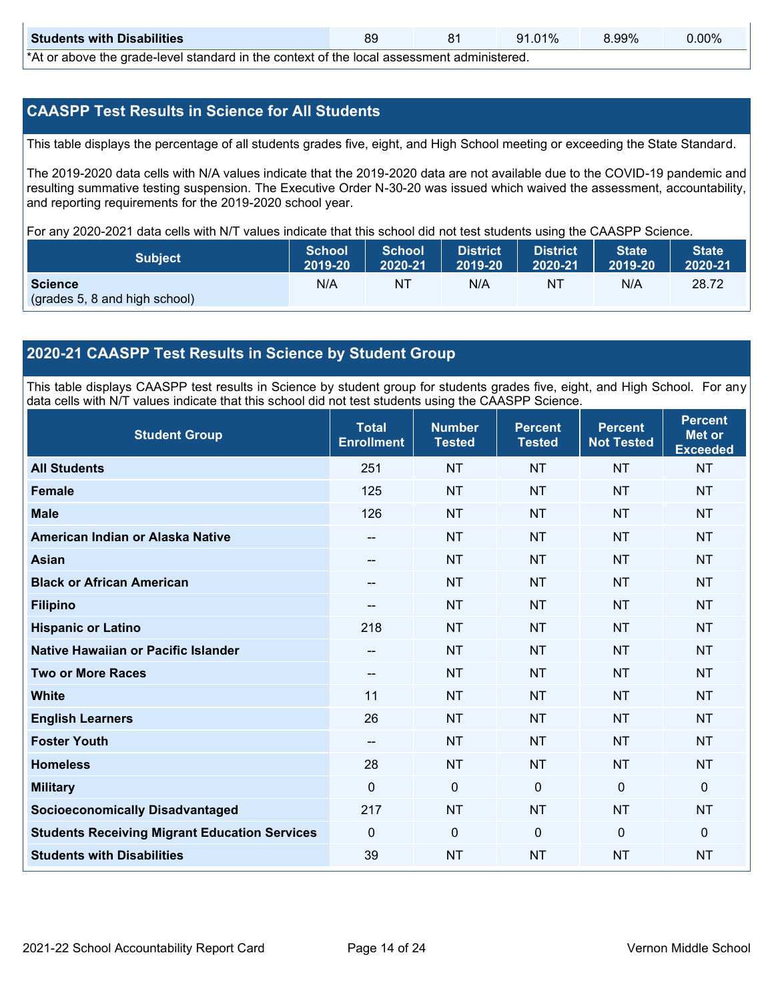| <b>Students with Disabilities</b>                                                                   |  |  | 91.01% | 8.99% | $0.00\%$ |  |  |
|-----------------------------------------------------------------------------------------------------|--|--|--------|-------|----------|--|--|
| *At an abacca that would have later dand by the counterst of the house accessors to a declarate and |  |  |        |       |          |  |  |

\*At or above the grade-level standard in the context of the local assessment administered.

## **CAASPP Test Results in Science for All Students**

This table displays the percentage of all students grades five, eight, and High School meeting or exceeding the State Standard.

The 2019-2020 data cells with N/A values indicate that the 2019-2020 data are not available due to the COVID-19 pandemic and resulting summative testing suspension. The Executive Order N-30-20 was issued which waived the assessment, accountability, and reporting requirements for the 2019-2020 school year.

For any 2020-2021 data cells with N/T values indicate that this school did not test students using the CAASPP Science.

| <b>Subject</b>                | <b>School</b><br>2019-20 | <b>School</b><br>2020-21 | <b>District</b><br>12019-20 | District<br>2020-21 | <b>State</b><br>2019-20 | <b>State</b><br>2020-21 |
|-------------------------------|--------------------------|--------------------------|-----------------------------|---------------------|-------------------------|-------------------------|
| <b>Science</b>                | N/A                      | NT                       | N/A                         | NT.                 | N/A                     | 28.72                   |
| (grades 5, 8 and high school) |                          |                          |                             |                     |                         |                         |

## **2020-21 CAASPP Test Results in Science by Student Group**

This table displays CAASPP test results in Science by student group for students grades five, eight, and High School. For any data cells with N/T values indicate that this school did not test students using the CAASPP Science.

| <b>Student Group</b>                                 | <b>Total</b><br><b>Enrollment</b> | <b>Number</b><br><b>Tested</b> | <b>Percent</b><br><b>Tested</b> | <b>Percent</b><br><b>Not Tested</b> | <b>Percent</b><br><b>Met or</b><br><b>Exceeded</b> |
|------------------------------------------------------|-----------------------------------|--------------------------------|---------------------------------|-------------------------------------|----------------------------------------------------|
| <b>All Students</b>                                  | 251                               | <b>NT</b>                      | <b>NT</b>                       | <b>NT</b>                           | <b>NT</b>                                          |
| <b>Female</b>                                        | 125                               | <b>NT</b>                      | <b>NT</b>                       | <b>NT</b>                           | <b>NT</b>                                          |
| <b>Male</b>                                          | 126                               | <b>NT</b>                      | <b>NT</b>                       | <b>NT</b>                           | <b>NT</b>                                          |
| American Indian or Alaska Native                     | $\sim$                            | <b>NT</b>                      | <b>NT</b>                       | <b>NT</b>                           | <b>NT</b>                                          |
| <b>Asian</b>                                         | --                                | <b>NT</b>                      | <b>NT</b>                       | <b>NT</b>                           | <b>NT</b>                                          |
| <b>Black or African American</b>                     | --                                | <b>NT</b>                      | <b>NT</b>                       | <b>NT</b>                           | <b>NT</b>                                          |
| <b>Filipino</b>                                      | --                                | <b>NT</b>                      | <b>NT</b>                       | <b>NT</b>                           | <b>NT</b>                                          |
| <b>Hispanic or Latino</b>                            | 218                               | <b>NT</b>                      | <b>NT</b>                       | <b>NT</b>                           | <b>NT</b>                                          |
| Native Hawaiian or Pacific Islander                  | --                                | <b>NT</b>                      | <b>NT</b>                       | <b>NT</b>                           | <b>NT</b>                                          |
| <b>Two or More Races</b>                             | --                                | <b>NT</b>                      | <b>NT</b>                       | <b>NT</b>                           | <b>NT</b>                                          |
| <b>White</b>                                         | 11                                | <b>NT</b>                      | <b>NT</b>                       | <b>NT</b>                           | <b>NT</b>                                          |
| <b>English Learners</b>                              | 26                                | <b>NT</b>                      | <b>NT</b>                       | <b>NT</b>                           | <b>NT</b>                                          |
| <b>Foster Youth</b>                                  | --                                | <b>NT</b>                      | <b>NT</b>                       | <b>NT</b>                           | <b>NT</b>                                          |
| <b>Homeless</b>                                      | 28                                | <b>NT</b>                      | <b>NT</b>                       | <b>NT</b>                           | <b>NT</b>                                          |
| <b>Military</b>                                      | 0                                 | 0                              | $\mathbf{0}$                    | $\mathbf 0$                         | $\mathbf 0$                                        |
| <b>Socioeconomically Disadvantaged</b>               | 217                               | <b>NT</b>                      | <b>NT</b>                       | <b>NT</b>                           | <b>NT</b>                                          |
| <b>Students Receiving Migrant Education Services</b> | 0                                 | $\mathbf 0$                    | $\mathbf{0}$                    | $\overline{0}$                      | $\mathbf 0$                                        |
| <b>Students with Disabilities</b>                    | 39                                | <b>NT</b>                      | <b>NT</b>                       | <b>NT</b>                           | <b>NT</b>                                          |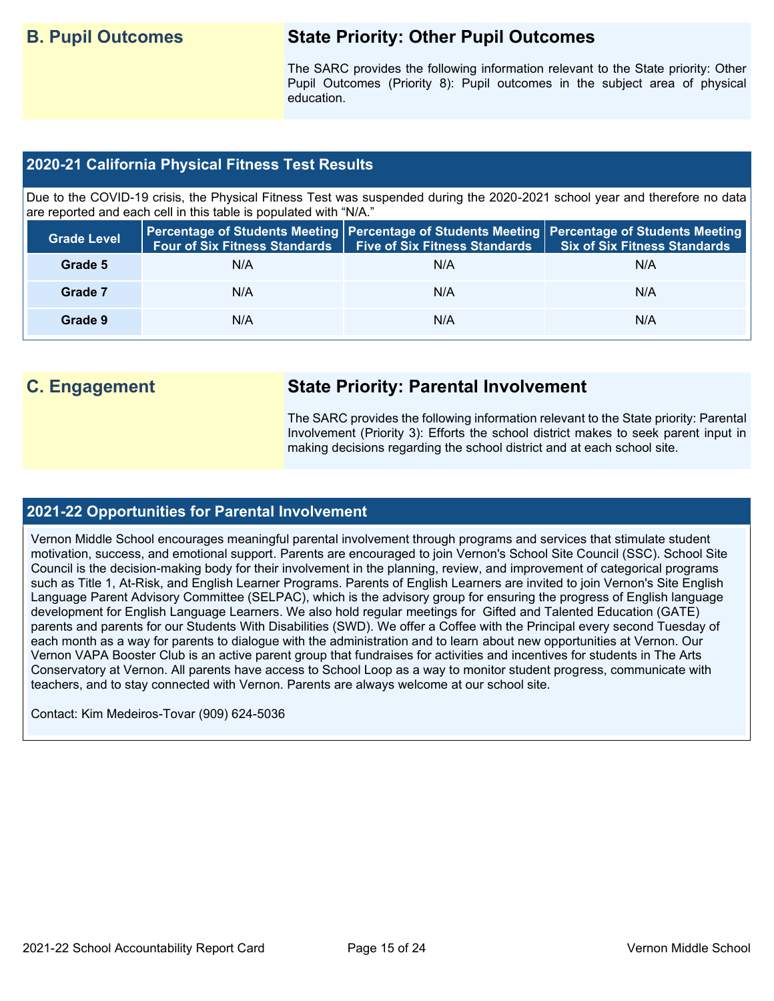## **B. Pupil Outcomes State Priority: Other Pupil Outcomes**

The SARC provides the following information relevant to the State priority: Other Pupil Outcomes (Priority 8): Pupil outcomes in the subject area of physical education.

## **2020-21 California Physical Fitness Test Results**

Due to the COVID-19 crisis, the Physical Fitness Test was suspended during the 2020-2021 school year and therefore no data are reported and each cell in this table is populated with "N/A."

| <b>Grade Level</b> | <b>Four of Six Fitness Standards</b> | <b>Five of Six Fitness Standards</b> | Percentage of Students Meeting   Percentage of Students Meeting   Percentage of Students Meeting  <br><b>Six of Six Fitness Standards</b> |
|--------------------|--------------------------------------|--------------------------------------|-------------------------------------------------------------------------------------------------------------------------------------------|
| Grade 5            | N/A                                  | N/A                                  | N/A                                                                                                                                       |
| Grade 7            | N/A                                  | N/A                                  | N/A                                                                                                                                       |
| Grade 9            | N/A                                  | N/A                                  | N/A                                                                                                                                       |

## **C. Engagement State Priority: Parental Involvement**

The SARC provides the following information relevant to the State priority: Parental Involvement (Priority 3): Efforts the school district makes to seek parent input in making decisions regarding the school district and at each school site.

### **2021-22 Opportunities for Parental Involvement**

Vernon Middle School encourages meaningful parental involvement through programs and services that stimulate student motivation, success, and emotional support. Parents are encouraged to join Vernon's School Site Council (SSC). School Site Council is the decision-making body for their involvement in the planning, review, and improvement of categorical programs such as Title 1, At-Risk, and English Learner Programs. Parents of English Learners are invited to join Vernon's Site English Language Parent Advisory Committee (SELPAC), which is the advisory group for ensuring the progress of English language development for English Language Learners. We also hold regular meetings for Gifted and Talented Education (GATE) parents and parents for our Students With Disabilities (SWD). We offer a Coffee with the Principal every second Tuesday of each month as a way for parents to dialogue with the administration and to learn about new opportunities at Vernon. Our Vernon VAPA Booster Club is an active parent group that fundraises for activities and incentives for students in The Arts Conservatory at Vernon. All parents have access to School Loop as a way to monitor student progress, communicate with teachers, and to stay connected with Vernon. Parents are always welcome at our school site.

Contact: Kim Medeiros-Tovar (909) 624-5036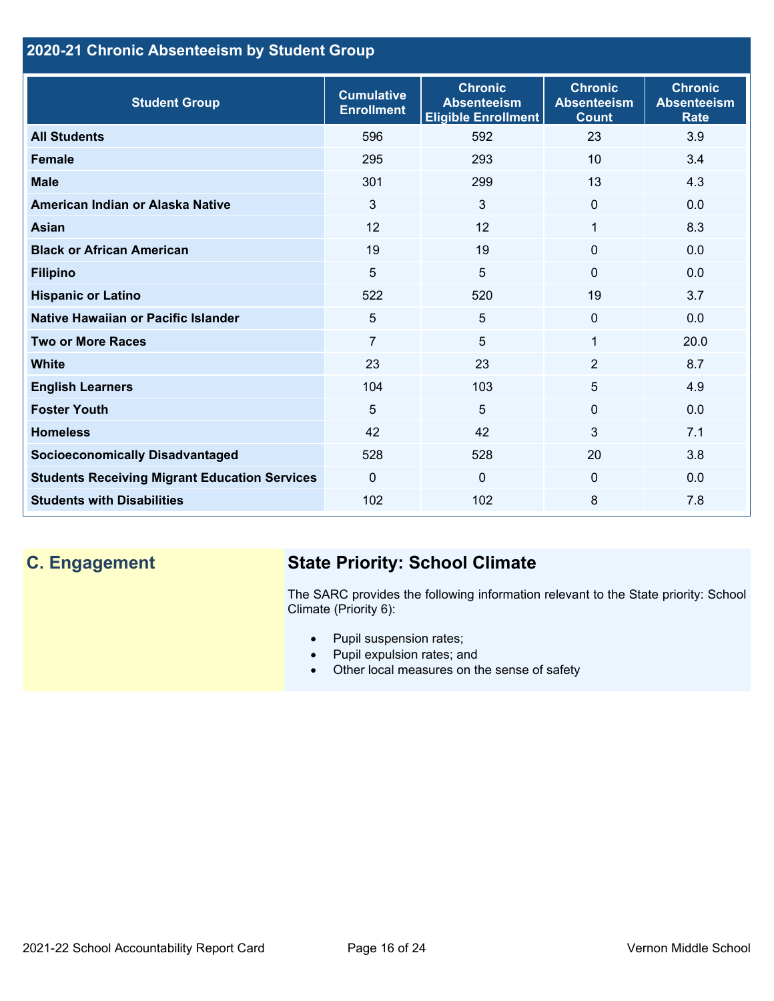## **2020-21 Chronic Absenteeism by Student Group**

| <b>Student Group</b>                                 | <b>Cumulative</b><br><b>Enrollment</b> | <b>Chronic</b><br><b>Absenteeism</b><br><b>Eligible Enrollment</b> | <b>Chronic</b><br><b>Absenteeism</b><br><b>Count</b> | <b>Chronic</b><br><b>Absenteeism</b><br><b>Rate</b> |
|------------------------------------------------------|----------------------------------------|--------------------------------------------------------------------|------------------------------------------------------|-----------------------------------------------------|
| <b>All Students</b>                                  | 596                                    | 592                                                                | 23                                                   | 3.9                                                 |
| <b>Female</b>                                        | 295                                    | 293                                                                | 10 <sup>1</sup>                                      | 3.4                                                 |
| <b>Male</b>                                          | 301                                    | 299                                                                | 13                                                   | 4.3                                                 |
| American Indian or Alaska Native                     | 3                                      | 3                                                                  | $\mathbf{0}$                                         | 0.0                                                 |
| <b>Asian</b>                                         | 12                                     | 12                                                                 | 1                                                    | 8.3                                                 |
| <b>Black or African American</b>                     | 19                                     | 19                                                                 | $\mathbf{0}$                                         | 0.0                                                 |
| <b>Filipino</b>                                      | 5                                      | 5                                                                  | $\mathbf{0}$                                         | 0.0                                                 |
| <b>Hispanic or Latino</b>                            | 522                                    | 520                                                                | 19                                                   | 3.7                                                 |
| Native Hawaiian or Pacific Islander                  | 5                                      | 5                                                                  | $\mathbf 0$                                          | 0.0                                                 |
| <b>Two or More Races</b>                             | $\overline{7}$                         | 5                                                                  | 1                                                    | 20.0                                                |
| <b>White</b>                                         | 23                                     | 23                                                                 | 2                                                    | 8.7                                                 |
| <b>English Learners</b>                              | 104                                    | 103                                                                | 5                                                    | 4.9                                                 |
| <b>Foster Youth</b>                                  | 5                                      | 5                                                                  | $\Omega$                                             | 0.0                                                 |
| <b>Homeless</b>                                      | 42                                     | 42                                                                 | $\mathbf{3}$                                         | 7.1                                                 |
| <b>Socioeconomically Disadvantaged</b>               | 528                                    | 528                                                                | 20                                                   | 3.8                                                 |
| <b>Students Receiving Migrant Education Services</b> | $\mathbf{0}$                           | $\mathbf 0$                                                        | $\mathbf{0}$                                         | 0.0                                                 |
| <b>Students with Disabilities</b>                    | 102                                    | 102                                                                | 8                                                    | 7.8                                                 |

# **C. Engagement State Priority: School Climate**

The SARC provides the following information relevant to the State priority: School Climate (Priority 6):

- Pupil suspension rates;
- Pupil expulsion rates; and
- Other local measures on the sense of safety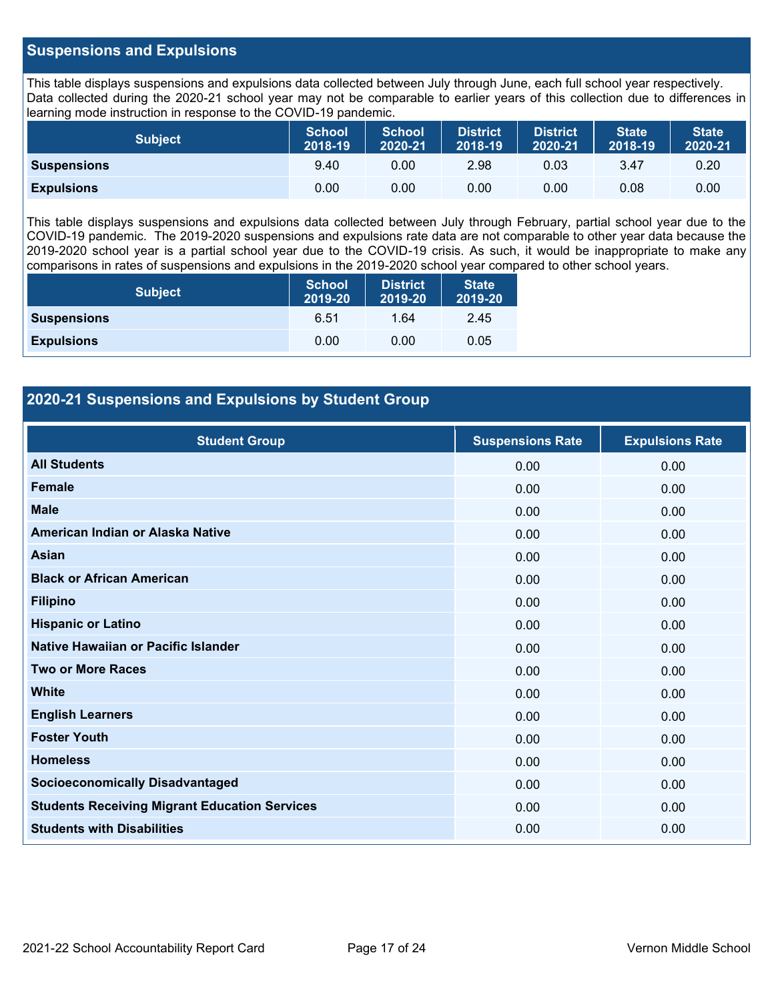## **Suspensions and Expulsions**

This table displays suspensions and expulsions data collected between July through June, each full school year respectively. Data collected during the 2020-21 school year may not be comparable to earlier years of this collection due to differences in learning mode instruction in response to the COVID-19 pandemic.

| <b>Subject</b>     | <b>School</b><br>2018-19 | <b>School</b><br>2020-21 | <b>District</b><br>2018-19 | <b>District</b><br>2020-21 | <b>State</b><br>2018-19 | <b>State</b><br>2020-21 |
|--------------------|--------------------------|--------------------------|----------------------------|----------------------------|-------------------------|-------------------------|
| <b>Suspensions</b> | 9.40                     | 0.00                     | 2.98                       | 0.03                       | 3.47                    | 0.20                    |
| <b>Expulsions</b>  | 0.00                     | 0.00                     | 0.00                       | 0.00                       | 0.08                    | 0.00                    |

This table displays suspensions and expulsions data collected between July through February, partial school year due to the COVID-19 pandemic. The 2019-2020 suspensions and expulsions rate data are not comparable to other year data because the 2019-2020 school year is a partial school year due to the COVID-19 crisis. As such, it would be inappropriate to make any comparisons in rates of suspensions and expulsions in the 2019-2020 school year compared to other school years.

| <b>Subject</b>     | <b>School</b><br>2019-20 | <b>District</b><br>2019-20 | <b>State</b><br>2019-20 |
|--------------------|--------------------------|----------------------------|-------------------------|
| <b>Suspensions</b> | 6.51                     | 1.64                       | 2.45                    |
| <b>Expulsions</b>  | 0.00                     | 0.00                       | 0.05                    |

## **2020-21 Suspensions and Expulsions by Student Group**

| <b>Student Group</b>                                 | <b>Suspensions Rate</b> | <b>Expulsions Rate</b> |
|------------------------------------------------------|-------------------------|------------------------|
| <b>All Students</b>                                  | 0.00                    | 0.00                   |
| <b>Female</b>                                        | 0.00                    | 0.00                   |
| <b>Male</b>                                          | 0.00                    | 0.00                   |
| American Indian or Alaska Native                     | 0.00                    | 0.00                   |
| <b>Asian</b>                                         | 0.00                    | 0.00                   |
| <b>Black or African American</b>                     | 0.00                    | 0.00                   |
| <b>Filipino</b>                                      | 0.00                    | 0.00                   |
| <b>Hispanic or Latino</b>                            | 0.00                    | 0.00                   |
| Native Hawaiian or Pacific Islander                  | 0.00                    | 0.00                   |
| <b>Two or More Races</b>                             | 0.00                    | 0.00                   |
| <b>White</b>                                         | 0.00                    | 0.00                   |
| <b>English Learners</b>                              | 0.00                    | 0.00                   |
| <b>Foster Youth</b>                                  | 0.00                    | 0.00                   |
| <b>Homeless</b>                                      | 0.00                    | 0.00                   |
| <b>Socioeconomically Disadvantaged</b>               | 0.00                    | 0.00                   |
| <b>Students Receiving Migrant Education Services</b> | 0.00                    | 0.00                   |
| <b>Students with Disabilities</b>                    | 0.00                    | 0.00                   |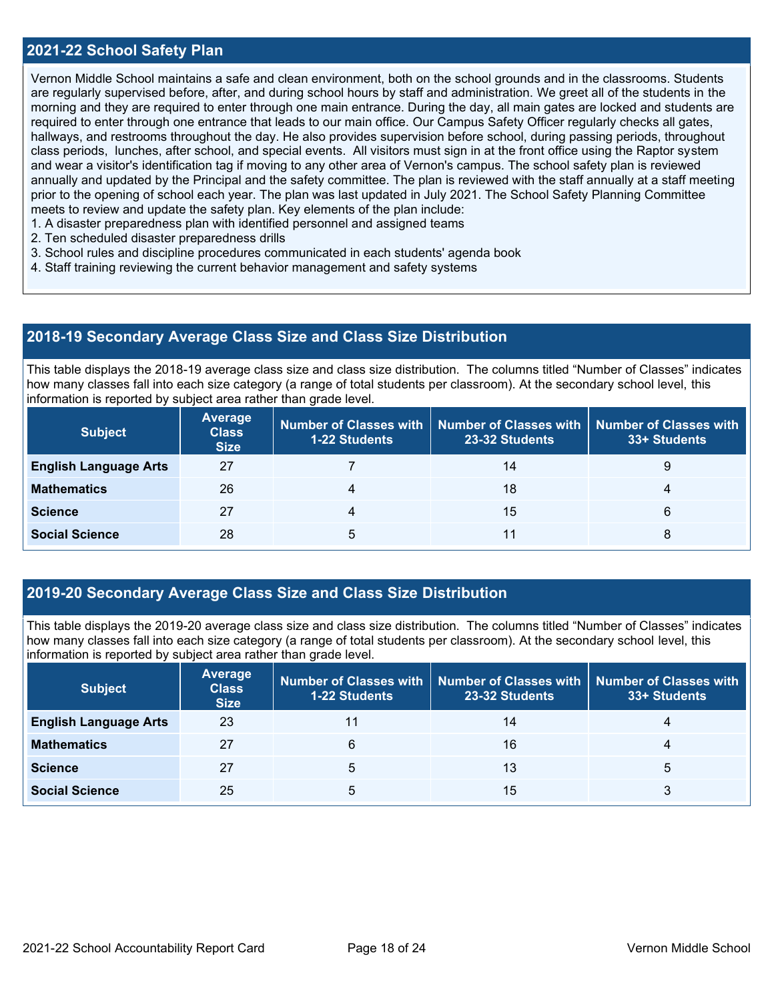## **2021-22 School Safety Plan**

Vernon Middle School maintains a safe and clean environment, both on the school grounds and in the classrooms. Students are regularly supervised before, after, and during school hours by staff and administration. We greet all of the students in the morning and they are required to enter through one main entrance. During the day, all main gates are locked and students are required to enter through one entrance that leads to our main office. Our Campus Safety Officer regularly checks all gates, hallways, and restrooms throughout the day. He also provides supervision before school, during passing periods, throughout class periods, lunches, after school, and special events. All visitors must sign in at the front office using the Raptor system and wear a visitor's identification tag if moving to any other area of Vernon's campus. The school safety plan is reviewed annually and updated by the Principal and the safety committee. The plan is reviewed with the staff annually at a staff meeting prior to the opening of school each year. The plan was last updated in July 2021. The School Safety Planning Committee meets to review and update the safety plan. Key elements of the plan include:

- 1. A disaster preparedness plan with identified personnel and assigned teams
- 2. Ten scheduled disaster preparedness drills
- 3. School rules and discipline procedures communicated in each students' agenda book
- 4. Staff training reviewing the current behavior management and safety systems

### **2018-19 Secondary Average Class Size and Class Size Distribution**

This table displays the 2018-19 average class size and class size distribution. The columns titled "Number of Classes" indicates how many classes fall into each size category (a range of total students per classroom). At the secondary school level, this information is reported by subject area rather than grade level.

| <b>Subject</b>               | Average<br><b>Class</b><br><b>Size</b> | 1-22 Students | Number of Classes with   Number of Classes with<br>23-32 Students | <b>Number of Classes with</b><br>33+ Students |
|------------------------------|----------------------------------------|---------------|-------------------------------------------------------------------|-----------------------------------------------|
| <b>English Language Arts</b> | 27                                     |               | 14                                                                | 9                                             |
| <b>Mathematics</b>           | 26                                     |               | 18                                                                | 4                                             |
| <b>Science</b>               | 27                                     |               | 15                                                                | 6                                             |
| <b>Social Science</b>        | 28                                     | 5             | 11                                                                | 8                                             |

### **2019-20 Secondary Average Class Size and Class Size Distribution**

This table displays the 2019-20 average class size and class size distribution. The columns titled "Number of Classes" indicates how many classes fall into each size category (a range of total students per classroom). At the secondary school level, this information is reported by subject area rather than grade level.

| <b>Subject</b>               | <b>Average</b><br><b>Class</b><br><b>Size</b> | <b>1-22 Students</b> | Number of Classes with   Number of Classes with   Number of Classes with<br>23-32 Students | 33+ Students |
|------------------------------|-----------------------------------------------|----------------------|--------------------------------------------------------------------------------------------|--------------|
| <b>English Language Arts</b> | 23                                            |                      | 14                                                                                         |              |
| <b>Mathematics</b>           | 27                                            | 6                    | 16                                                                                         |              |
| <b>Science</b>               | 27                                            | 5                    | 13                                                                                         | 5            |
| <b>Social Science</b>        | 25                                            | 5                    | 15                                                                                         |              |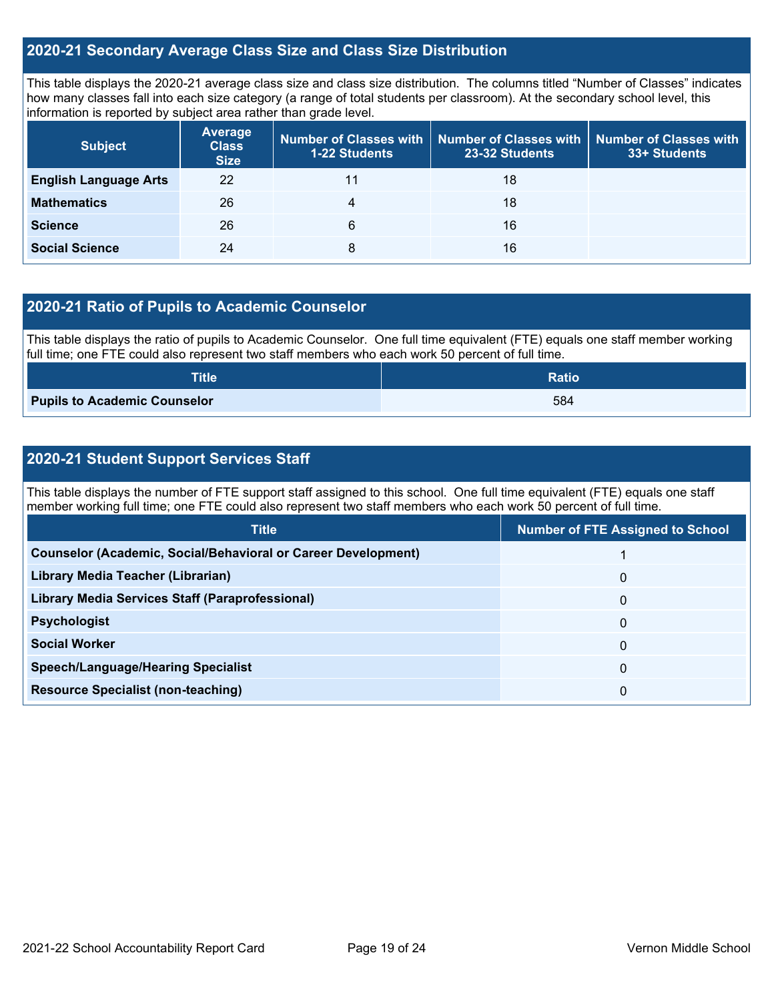## **2020-21 Secondary Average Class Size and Class Size Distribution**

This table displays the 2020-21 average class size and class size distribution. The columns titled "Number of Classes" indicates how many classes fall into each size category (a range of total students per classroom). At the secondary school level, this information is reported by subject area rather than grade level.

| <b>Subject</b>               | <b>Average</b><br><b>Class</b><br><b>Size</b> | 1-22 Students | Number of Classes with   Number of Classes with<br>23-32 Students | <b>Number of Classes with</b><br>33+ Students |
|------------------------------|-----------------------------------------------|---------------|-------------------------------------------------------------------|-----------------------------------------------|
| <b>English Language Arts</b> | 22                                            |               | 18                                                                |                                               |
| <b>Mathematics</b>           | 26                                            | 4             | 18                                                                |                                               |
| <b>Science</b>               | 26                                            | 6             | 16                                                                |                                               |
| <b>Social Science</b>        | 24                                            | 8             | 16                                                                |                                               |

## **2020-21 Ratio of Pupils to Academic Counselor**

This table displays the ratio of pupils to Academic Counselor. One full time equivalent (FTE) equals one staff member working full time; one FTE could also represent two staff members who each work 50 percent of full time.

| <b>Title</b>                        | <b>Ratio</b> |
|-------------------------------------|--------------|
| <b>Pupils to Academic Counselor</b> | 584          |

## **2020-21 Student Support Services Staff**

This table displays the number of FTE support staff assigned to this school. One full time equivalent (FTE) equals one staff member working full time; one FTE could also represent two staff members who each work 50 percent of full time.

| <b>Title</b>                                                         | <b>Number of FTE Assigned to School</b> |
|----------------------------------------------------------------------|-----------------------------------------|
| <b>Counselor (Academic, Social/Behavioral or Career Development)</b> |                                         |
| Library Media Teacher (Librarian)                                    | 0                                       |
| Library Media Services Staff (Paraprofessional)                      | 0                                       |
| <b>Psychologist</b>                                                  | 0                                       |
| <b>Social Worker</b>                                                 | 0                                       |
| <b>Speech/Language/Hearing Specialist</b>                            | 0                                       |
| <b>Resource Specialist (non-teaching)</b>                            | 0                                       |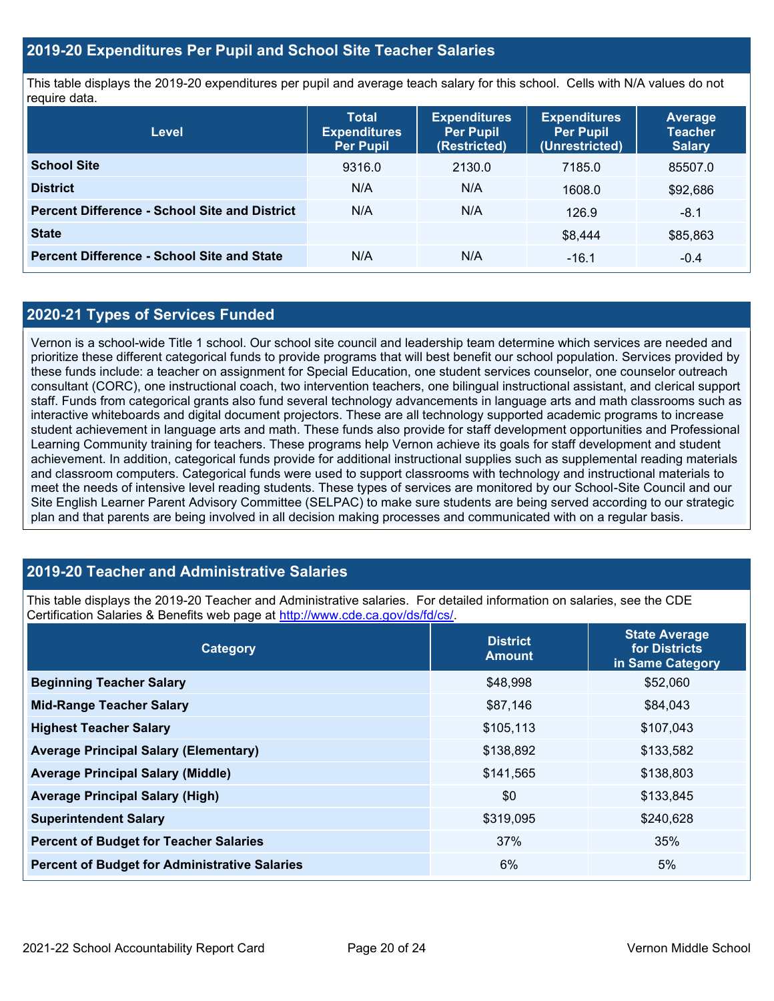## **2019-20 Expenditures Per Pupil and School Site Teacher Salaries**

This table displays the 2019-20 expenditures per pupil and average teach salary for this school. Cells with N/A values do not require data.

| Level                                                | <b>Total</b><br><b>Expenditures</b><br><b>Per Pupil</b> | <b>Expenditures</b><br><b>Per Pupil</b><br>(Restricted) | <b>Expenditures</b><br><b>Per Pupil</b><br>(Unrestricted) | <b>Average</b><br><b>Teacher</b><br><b>Salary</b> |
|------------------------------------------------------|---------------------------------------------------------|---------------------------------------------------------|-----------------------------------------------------------|---------------------------------------------------|
| <b>School Site</b>                                   | 9316.0                                                  | 2130.0                                                  | 7185.0                                                    | 85507.0                                           |
| <b>District</b>                                      | N/A                                                     | N/A                                                     | 1608.0                                                    | \$92,686                                          |
| <b>Percent Difference - School Site and District</b> | N/A                                                     | N/A                                                     | 126.9                                                     | $-8.1$                                            |
| <b>State</b>                                         |                                                         |                                                         | \$8,444                                                   | \$85,863                                          |
| <b>Percent Difference - School Site and State</b>    | N/A                                                     | N/A                                                     | $-16.1$                                                   | $-0.4$                                            |

## **2020-21 Types of Services Funded**

Vernon is a school-wide Title 1 school. Our school site council and leadership team determine which services are needed and prioritize these different categorical funds to provide programs that will best benefit our school population. Services provided by these funds include: a teacher on assignment for Special Education, one student services counselor, one counselor outreach consultant (CORC), one instructional coach, two intervention teachers, one bilingual instructional assistant, and clerical support staff. Funds from categorical grants also fund several technology advancements in language arts and math classrooms such as interactive whiteboards and digital document projectors. These are all technology supported academic programs to increase student achievement in language arts and math. These funds also provide for staff development opportunities and Professional Learning Community training for teachers. These programs help Vernon achieve its goals for staff development and student achievement. In addition, categorical funds provide for additional instructional supplies such as supplemental reading materials and classroom computers. Categorical funds were used to support classrooms with technology and instructional materials to meet the needs of intensive level reading students. These types of services are monitored by our School-Site Council and our Site English Learner Parent Advisory Committee (SELPAC) to make sure students are being served according to our strategic plan and that parents are being involved in all decision making processes and communicated with on a regular basis.

## **2019-20 Teacher and Administrative Salaries**

This table displays the 2019-20 Teacher and Administrative salaries. For detailed information on salaries, see the CDE Certification Salaries & Benefits web page at [http://www.cde.ca.gov/ds/fd/cs/.](http://www.cde.ca.gov/ds/fd/cs/)

| Category                                             | <b>District</b><br><b>Amount</b> | <b>State Average</b><br>for Districts<br>in Same Category |  |
|------------------------------------------------------|----------------------------------|-----------------------------------------------------------|--|
| <b>Beginning Teacher Salary</b>                      | \$48,998                         | \$52,060                                                  |  |
| <b>Mid-Range Teacher Salary</b>                      | \$87,146                         | \$84,043                                                  |  |
| <b>Highest Teacher Salary</b>                        | \$105,113                        | \$107,043                                                 |  |
| <b>Average Principal Salary (Elementary)</b>         | \$138,892                        | \$133,582                                                 |  |
| <b>Average Principal Salary (Middle)</b>             | \$141,565                        | \$138,803                                                 |  |
| <b>Average Principal Salary (High)</b>               | \$0                              | \$133,845                                                 |  |
| <b>Superintendent Salary</b>                         | \$319,095                        | \$240,628                                                 |  |
| <b>Percent of Budget for Teacher Salaries</b>        | 37%                              | 35%                                                       |  |
| <b>Percent of Budget for Administrative Salaries</b> | 6%                               | 5%                                                        |  |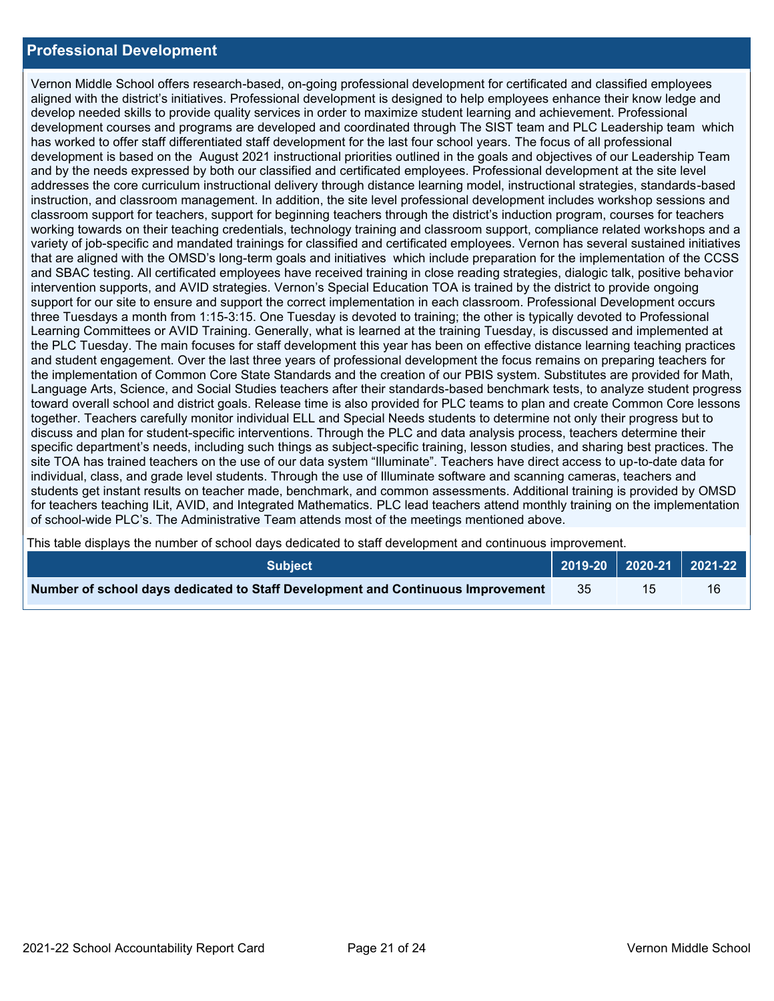## **Professional Development**

Vernon Middle School offers research-based, on-going professional development for certificated and classified employees aligned with the district's initiatives. Professional development is designed to help employees enhance their know ledge and develop needed skills to provide quality services in order to maximize student learning and achievement. Professional development courses and programs are developed and coordinated through The SIST team and PLC Leadership team which has worked to offer staff differentiated staff development for the last four school years. The focus of all professional development is based on the August 2021 instructional priorities outlined in the goals and objectives of our Leadership Team and by the needs expressed by both our classified and certificated employees. Professional development at the site level addresses the core curriculum instructional delivery through distance learning model, instructional strategies, standards-based instruction, and classroom management. In addition, the site level professional development includes workshop sessions and classroom support for teachers, support for beginning teachers through the district's induction program, courses for teachers working towards on their teaching credentials, technology training and classroom support, compliance related workshops and a variety of job-specific and mandated trainings for classified and certificated employees. Vernon has several sustained initiatives that are aligned with the OMSD's long-term goals and initiatives which include preparation for the implementation of the CCSS and SBAC testing. All certificated employees have received training in close reading strategies, dialogic talk, positive behavior intervention supports, and AVID strategies. Vernon's Special Education TOA is trained by the district to provide ongoing support for our site to ensure and support the correct implementation in each classroom. Professional Development occurs three Tuesdays a month from 1:15-3:15. One Tuesday is devoted to training; the other is typically devoted to Professional Learning Committees or AVID Training. Generally, what is learned at the training Tuesday, is discussed and implemented at the PLC Tuesday. The main focuses for staff development this year has been on effective distance learning teaching practices and student engagement. Over the last three years of professional development the focus remains on preparing teachers for the implementation of Common Core State Standards and the creation of our PBIS system. Substitutes are provided for Math, Language Arts, Science, and Social Studies teachers after their standards-based benchmark tests, to analyze student progress toward overall school and district goals. Release time is also provided for PLC teams to plan and create Common Core lessons together. Teachers carefully monitor individual ELL and Special Needs students to determine not only their progress but to discuss and plan for student-specific interventions. Through the PLC and data analysis process, teachers determine their specific department's needs, including such things as subject-specific training, lesson studies, and sharing best practices. The site TOA has trained teachers on the use of our data system "Illuminate". Teachers have direct access to up-to-date data for individual, class, and grade level students. Through the use of Illuminate software and scanning cameras, teachers and students get instant results on teacher made, benchmark, and common assessments. Additional training is provided by OMSD for teachers teaching ILit, AVID, and Integrated Mathematics. PLC lead teachers attend monthly training on the implementation of school-wide PLC's. The Administrative Team attends most of the meetings mentioned above.

This table displays the number of school days dedicated to staff development and continuous improvement.

| <b>Subiect</b> \                                                                |     | $\vert$ 2019-20 $\vert$ 2020-21 $\vert$ 2021-22 $\vert$ |
|---------------------------------------------------------------------------------|-----|---------------------------------------------------------|
| Number of school days dedicated to Staff Development and Continuous Improvement | -35 | 16                                                      |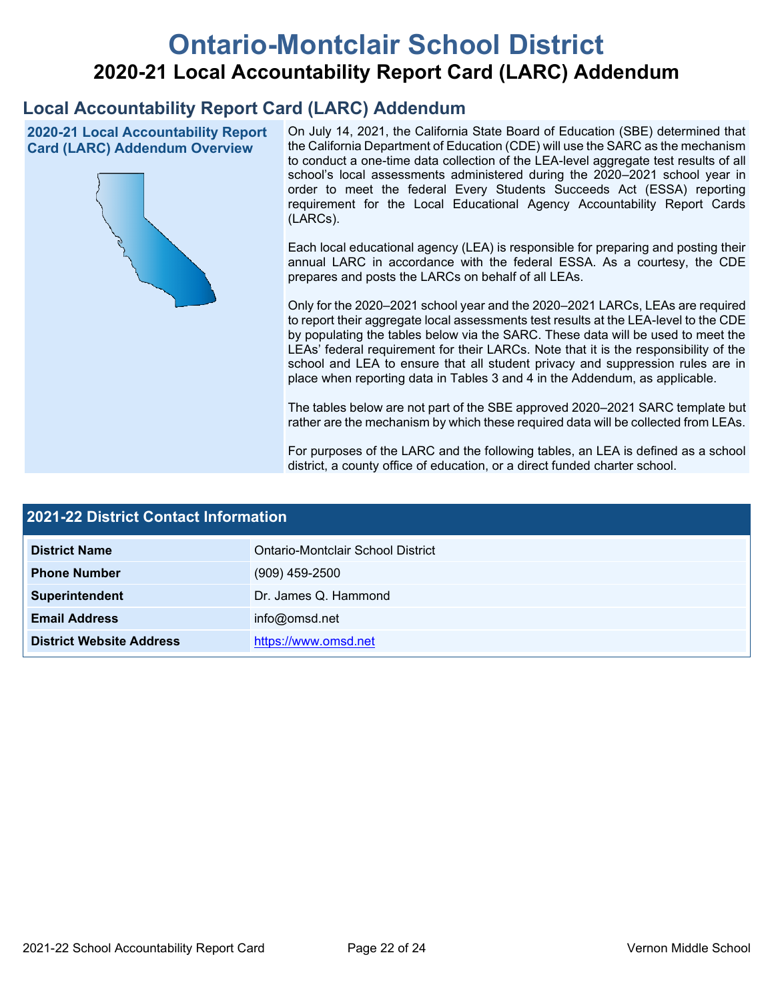# **Ontario-Montclair School District 2020-21 Local Accountability Report Card (LARC) Addendum**

## **Local Accountability Report Card (LARC) Addendum**

**2020-21 Local Accountability Report Card (LARC) Addendum Overview**



On July 14, 2021, the California State Board of Education (SBE) determined that the California Department of Education (CDE) will use the SARC as the mechanism to conduct a one-time data collection of the LEA-level aggregate test results of all school's local assessments administered during the 2020–2021 school year in order to meet the federal Every Students Succeeds Act (ESSA) reporting requirement for the Local Educational Agency Accountability Report Cards (LARCs).

Each local educational agency (LEA) is responsible for preparing and posting their annual LARC in accordance with the federal ESSA. As a courtesy, the CDE prepares and posts the LARCs on behalf of all LEAs.

Only for the 2020–2021 school year and the 2020–2021 LARCs, LEAs are required to report their aggregate local assessments test results at the LEA-level to the CDE by populating the tables below via the SARC. These data will be used to meet the LEAs' federal requirement for their LARCs. Note that it is the responsibility of the school and LEA to ensure that all student privacy and suppression rules are in place when reporting data in Tables 3 and 4 in the Addendum, as applicable.

The tables below are not part of the SBE approved 2020–2021 SARC template but rather are the mechanism by which these required data will be collected from LEAs.

For purposes of the LARC and the following tables, an LEA is defined as a school district, a county office of education, or a direct funded charter school.

| 2021-22 District Contact Information |                                   |  |
|--------------------------------------|-----------------------------------|--|
| <b>District Name</b>                 | Ontario-Montclair School District |  |
| <b>Phone Number</b>                  | $(909)$ 459-2500                  |  |
| Superintendent                       | Dr. James Q. Hammond              |  |
| <b>Email Address</b>                 | info@omsd.net                     |  |
| <b>District Website Address</b>      | https://www.omsd.net              |  |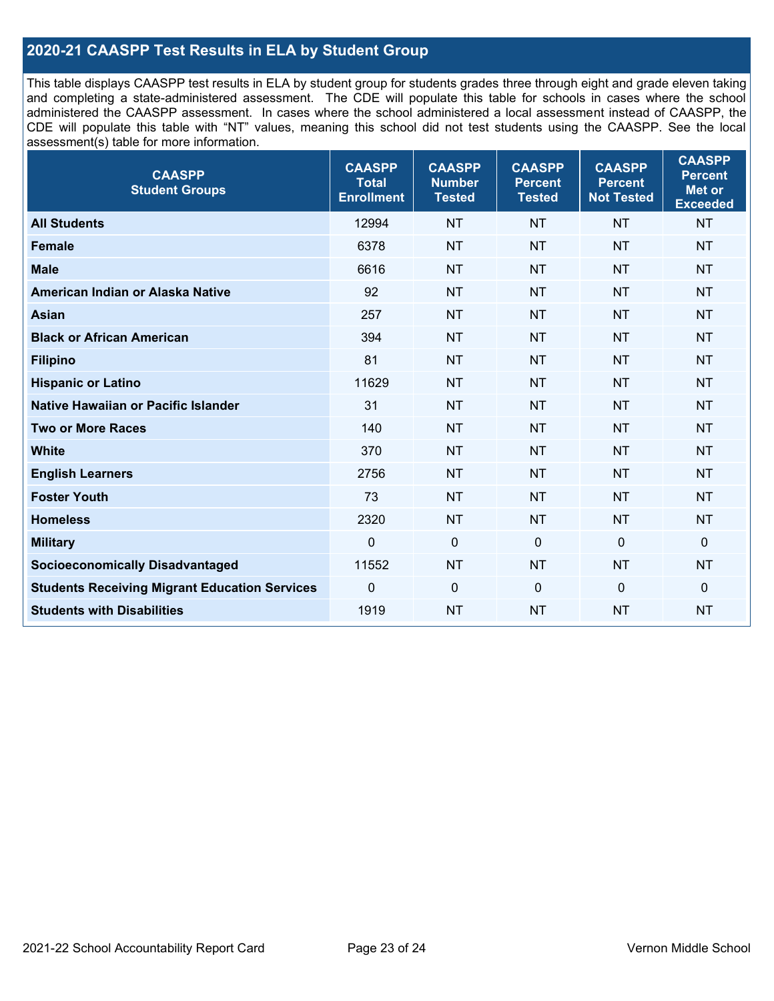## **2020-21 CAASPP Test Results in ELA by Student Group**

This table displays CAASPP test results in ELA by student group for students grades three through eight and grade eleven taking and completing a state-administered assessment. The CDE will populate this table for schools in cases where the school administered the CAASPP assessment. In cases where the school administered a local assessment instead of CAASPP, the CDE will populate this table with "NT" values, meaning this school did not test students using the CAASPP. See the local assessment(s) table for more information.

| <b>CAASPP</b><br><b>Student Groups</b>               | <b>CAASPP</b><br><b>Total</b><br><b>Enrollment</b> | <b>CAASPP</b><br><b>Number</b><br><b>Tested</b> | <b>CAASPP</b><br><b>Percent</b><br><b>Tested</b> | <b>CAASPP</b><br><b>Percent</b><br><b>Not Tested</b> | <b>CAASPP</b><br><b>Percent</b><br>Met or<br><b>Exceeded</b> |
|------------------------------------------------------|----------------------------------------------------|-------------------------------------------------|--------------------------------------------------|------------------------------------------------------|--------------------------------------------------------------|
| <b>All Students</b>                                  | 12994                                              | <b>NT</b>                                       | <b>NT</b>                                        | <b>NT</b>                                            | <b>NT</b>                                                    |
| <b>Female</b>                                        | 6378                                               | <b>NT</b>                                       | <b>NT</b>                                        | <b>NT</b>                                            | <b>NT</b>                                                    |
| <b>Male</b>                                          | 6616                                               | <b>NT</b>                                       | <b>NT</b>                                        | <b>NT</b>                                            | <b>NT</b>                                                    |
| American Indian or Alaska Native                     | 92                                                 | <b>NT</b>                                       | <b>NT</b>                                        | <b>NT</b>                                            | <b>NT</b>                                                    |
| <b>Asian</b>                                         | 257                                                | <b>NT</b>                                       | <b>NT</b>                                        | <b>NT</b>                                            | <b>NT</b>                                                    |
| <b>Black or African American</b>                     | 394                                                | <b>NT</b>                                       | <b>NT</b>                                        | <b>NT</b>                                            | NT                                                           |
| <b>Filipino</b>                                      | 81                                                 | <b>NT</b>                                       | <b>NT</b>                                        | <b>NT</b>                                            | <b>NT</b>                                                    |
| <b>Hispanic or Latino</b>                            | 11629                                              | <b>NT</b>                                       | <b>NT</b>                                        | <b>NT</b>                                            | <b>NT</b>                                                    |
| Native Hawaiian or Pacific Islander                  | 31                                                 | <b>NT</b>                                       | <b>NT</b>                                        | <b>NT</b>                                            | <b>NT</b>                                                    |
| <b>Two or More Races</b>                             | 140                                                | <b>NT</b>                                       | <b>NT</b>                                        | <b>NT</b>                                            | <b>NT</b>                                                    |
| <b>White</b>                                         | 370                                                | <b>NT</b>                                       | <b>NT</b>                                        | <b>NT</b>                                            | <b>NT</b>                                                    |
| <b>English Learners</b>                              | 2756                                               | <b>NT</b>                                       | <b>NT</b>                                        | <b>NT</b>                                            | <b>NT</b>                                                    |
| <b>Foster Youth</b>                                  | 73                                                 | <b>NT</b>                                       | <b>NT</b>                                        | <b>NT</b>                                            | NT                                                           |
| <b>Homeless</b>                                      | 2320                                               | <b>NT</b>                                       | <b>NT</b>                                        | <b>NT</b>                                            | <b>NT</b>                                                    |
| <b>Military</b>                                      | $\mathbf 0$                                        | $\mathbf 0$                                     | $\mathbf 0$                                      | $\mathbf 0$                                          | 0                                                            |
| <b>Socioeconomically Disadvantaged</b>               | 11552                                              | <b>NT</b>                                       | <b>NT</b>                                        | <b>NT</b>                                            | <b>NT</b>                                                    |
| <b>Students Receiving Migrant Education Services</b> | $\Omega$                                           | $\mathbf 0$                                     | $\mathbf 0$                                      | $\Omega$                                             | 0                                                            |
| <b>Students with Disabilities</b>                    | 1919                                               | <b>NT</b>                                       | <b>NT</b>                                        | <b>NT</b>                                            | <b>NT</b>                                                    |